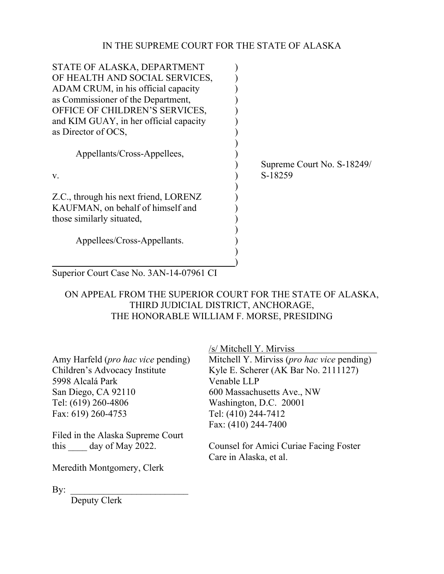### IN THE SUPREME COURT FOR THE STATE OF ALASKA

| STATE OF ALASKA, DEPARTMENT            |                            |
|----------------------------------------|----------------------------|
| OF HEALTH AND SOCIAL SERVICES,         |                            |
| ADAM CRUM, in his official capacity    |                            |
| as Commissioner of the Department,     |                            |
| OFFICE OF CHILDREN'S SERVICES,         |                            |
| and KIM GUAY, in her official capacity |                            |
| as Director of OCS,                    |                            |
| Appellants/Cross-Appellees,            | Supreme Court No. S-18249/ |
| V.                                     | S-18259                    |
| Z.C., through his next friend, LORENZ  |                            |
| KAUFMAN, on behalf of himself and      |                            |
| those similarly situated,              |                            |
|                                        |                            |
| Appellees/Cross-Appellants.            |                            |
|                                        |                            |
|                                        |                            |

Superior Court Case No. 3AN-14-07961 CI

## ON APPEAL FROM THE SUPERIOR COURT FOR THE STATE OF ALASKA, THIRD JUDICIAL DISTRICT, ANCHORAGE, THE HONORABLE WILLIAM F. MORSE, PRESIDING

5998 Alcalá Park Venable LLP San Diego, CA 92110 600 Massachusetts Ave., NW Tel: (619) 260-4806 Washington, D.C. 20001 Fax: 619) 260-4753 Tel: (410) 244-7412

Filed in the Alaska Supreme Court<br>this day of May 2022.

Meredith Montgomery, Clerk

/s/ Mitchell Y. Mirviss Amy Harfeld (*pro hac vice* pending) Mitchell Y. Mirviss (*pro hac vice* pending) Children's Advocacy Institute Kyle E. Scherer (AK Bar No. 2111127) Fax: (410) 244-7400

> Counsel for Amici Curiae Facing Foster Care in Alaska, et al.

By:  $\Box$ 

Deputy Clerk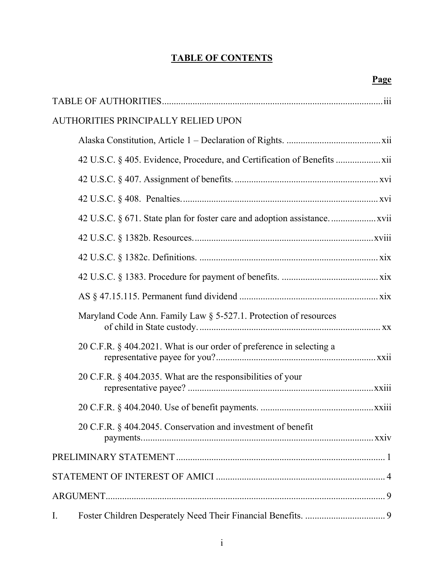# **TABLE OF CONTENTS**

**Page** 

| AUTHORITIES PRINCIPALLY RELIED UPON                                  |
|----------------------------------------------------------------------|
|                                                                      |
| 42 U.S.C. § 405. Evidence, Procedure, and Certification of Benefits  |
|                                                                      |
|                                                                      |
|                                                                      |
|                                                                      |
|                                                                      |
|                                                                      |
|                                                                      |
| Maryland Code Ann. Family Law § 5-527.1. Protection of resources     |
| 20 C.F.R. § 404.2021. What is our order of preference in selecting a |
| 20 C.F.R. § 404.2035. What are the responsibilities of your          |
|                                                                      |
| 20 C.F.R. § 404.2045. Conservation and investment of benefit         |
|                                                                      |
|                                                                      |
|                                                                      |
| Ι.                                                                   |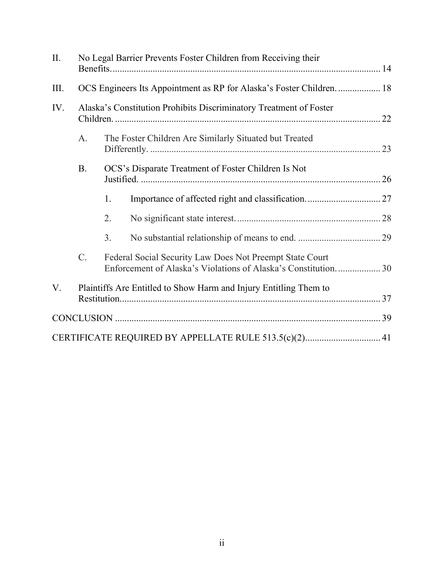| II.         |                                                                    |    | No Legal Barrier Prevents Foster Children from Receiving their                                                             |  |
|-------------|--------------------------------------------------------------------|----|----------------------------------------------------------------------------------------------------------------------------|--|
| III.        |                                                                    |    | OCS Engineers Its Appointment as RP for Alaska's Foster Children 18                                                        |  |
| IV.         | Alaska's Constitution Prohibits Discriminatory Treatment of Foster |    |                                                                                                                            |  |
|             | A.                                                                 |    | The Foster Children Are Similarly Situated but Treated                                                                     |  |
|             | <b>B.</b>                                                          |    | OCS's Disparate Treatment of Foster Children Is Not                                                                        |  |
|             |                                                                    | 1. |                                                                                                                            |  |
|             |                                                                    | 2. |                                                                                                                            |  |
|             |                                                                    | 3. |                                                                                                                            |  |
|             | $C_{\cdot}$                                                        |    | Federal Social Security Law Does Not Preempt State Court<br>Enforcement of Alaska's Violations of Alaska's Constitution 30 |  |
| $V_{\cdot}$ |                                                                    |    | Plaintiffs Are Entitled to Show Harm and Injury Entitling Them to                                                          |  |
|             |                                                                    |    |                                                                                                                            |  |
|             |                                                                    |    | CERTIFICATE REQUIRED BY APPELLATE RULE 513.5(c)(2) 41                                                                      |  |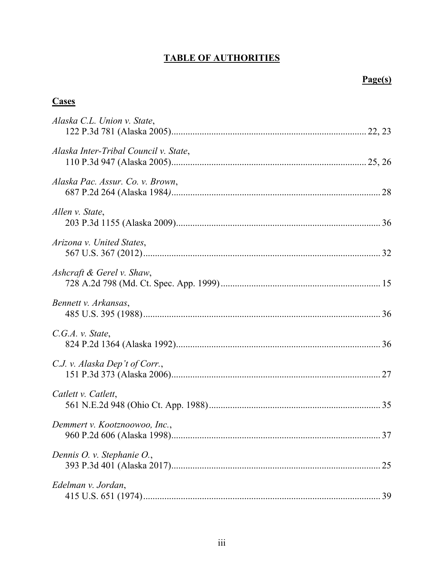# **TABLE OF AUTHORITIES**

## **Page(s)**

| <b>Cases</b>                          |
|---------------------------------------|
| Alaska C.L. Union v. State,           |
| Alaska Inter-Tribal Council v. State, |
| Alaska Pac. Assur. Co. v. Brown,      |
| Allen v. State,                       |
| Arizona v. United States,             |
| Ashcraft & Gerel v. Shaw,             |
| Bennett v. Arkansas,                  |
| C.G.A. v. State,                      |
| C.J. v. Alaska Dep't of Corr.,        |
| Catlett v. Catlett,                   |
| Demmert v. Kootznoowoo, Inc.,         |
| Dennis O. v. Stephanie O.,            |
| Edelman v. Jordan,                    |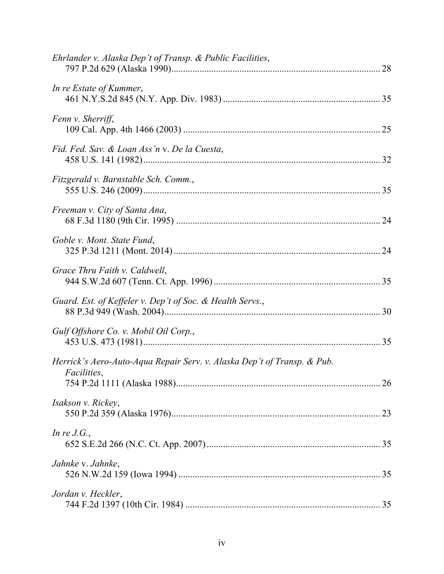| Ehrlander v. Alaska Dep't of Transp. & Public Facilities,                                     |
|-----------------------------------------------------------------------------------------------|
| In re Estate of Kummer,                                                                       |
| Fenn v. Sherriff,                                                                             |
| Fid. Fed. Sav. & Loan Ass'n v. De la Cuesta,                                                  |
| Fitzgerald v. Barnstable Sch. Comm.,                                                          |
| Freeman v. City of Santa Ana,                                                                 |
| Goble v. Mont. State Fund,                                                                    |
| Grace Thru Faith v. Caldwell,                                                                 |
| Guard. Est. of Keffeler v. Dep't of Soc. & Health Servs.,                                     |
| Gulf Offshore Co. v. Mobil Oil Corp.,                                                         |
| Herrick's Aero-Auto-Aqua Repair Serv. v. Alaska Dep't of Transp. & Pub.<br><i>Facilities,</i> |
| Isakson v. Rickey,                                                                            |
| In re $J.G.,$                                                                                 |
| Jahnke v. Jahnke,                                                                             |
| Jordan v. Heckler,                                                                            |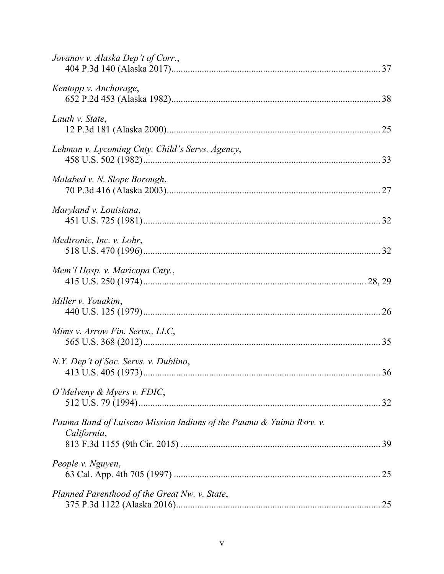| Jovanov v. Alaska Dep't of Corr.,                                                  |
|------------------------------------------------------------------------------------|
| Kentopp v. Anchorage,                                                              |
| Lauth v. State,                                                                    |
| Lehman v. Lycoming Cnty. Child's Servs. Agency,                                    |
| Malabed v. N. Slope Borough,                                                       |
| Maryland v. Louisiana,                                                             |
| Medtronic, Inc. v. Lohr,                                                           |
| Mem'l Hosp. v. Maricopa Cnty.,                                                     |
| Miller v. Youakim,                                                                 |
| Mims v. Arrow Fin. Servs., LLC,                                                    |
| N.Y. Dep't of Soc. Servs. v. Dublino,                                              |
| O'Melveny & Myers v. FDIC,                                                         |
| Pauma Band of Luiseno Mission Indians of the Pauma & Yuima Rsrv. v.<br>California, |
| People v. Nguyen,                                                                  |
| Planned Parenthood of the Great Nw. v. State,                                      |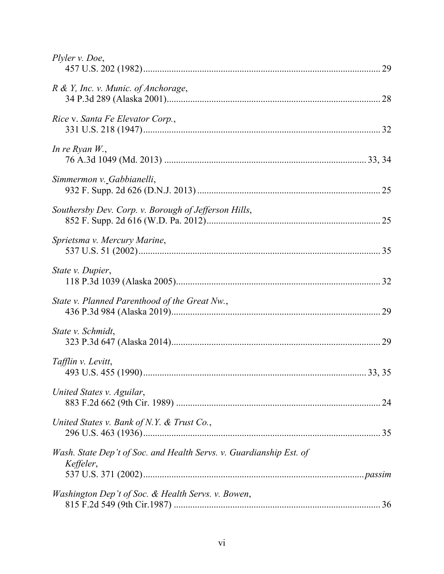| Plyler v. Doe,                                                                   |
|----------------------------------------------------------------------------------|
| R & Y, Inc. v. Munic. of Anchorage,                                              |
| Rice v. Santa Fe Elevator Corp.,                                                 |
| In re Ryan $W$ .,                                                                |
| Simmermon v. Gabbianelli,                                                        |
| Southersby Dev. Corp. v. Borough of Jefferson Hills,                             |
| Sprietsma v. Mercury Marine,                                                     |
| State v. Dupier,                                                                 |
| State v. Planned Parenthood of the Great Nw.,                                    |
| State v. Schmidt,                                                                |
| Tafflin v. Levitt,                                                               |
| United States v. Aguilar,                                                        |
| United States v. Bank of N.Y. & Trust Co.,                                       |
| Wash. State Dep't of Soc. and Health Servs. v. Guardianship Est. of<br>Keffeler, |
|                                                                                  |
| Washington Dep't of Soc. & Health Servs. v. Bowen,                               |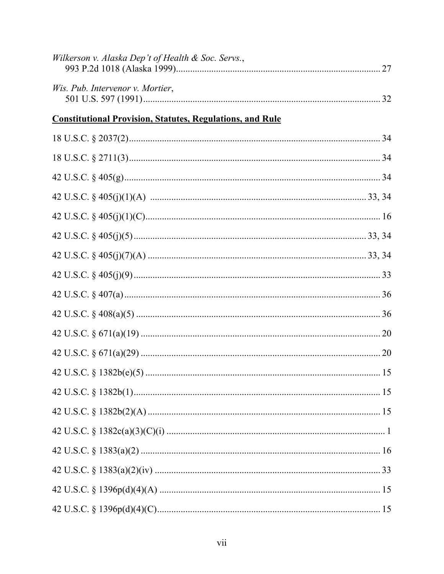| Wilkerson v. Alaska Dep't of Health & Soc. Servs.,               |  |
|------------------------------------------------------------------|--|
| Wis. Pub. Intervenor v. Mortier,                                 |  |
| <b>Constitutional Provision, Statutes, Regulations, and Rule</b> |  |
|                                                                  |  |
|                                                                  |  |
|                                                                  |  |
|                                                                  |  |
|                                                                  |  |
|                                                                  |  |
|                                                                  |  |
|                                                                  |  |
|                                                                  |  |
|                                                                  |  |
|                                                                  |  |
|                                                                  |  |
|                                                                  |  |
|                                                                  |  |
|                                                                  |  |
|                                                                  |  |
|                                                                  |  |
|                                                                  |  |
|                                                                  |  |
|                                                                  |  |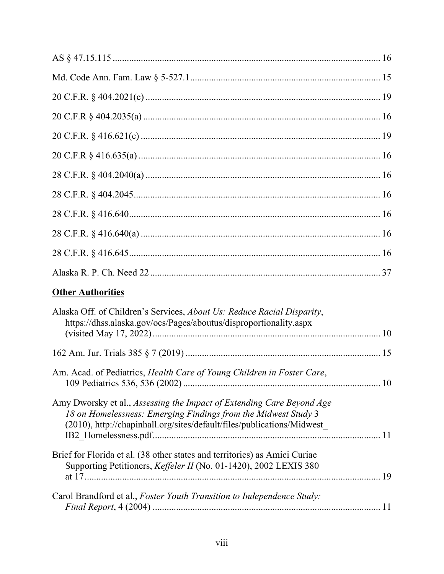| <b>Other Authorities</b>                                                                                                                                                                                           |  |
|--------------------------------------------------------------------------------------------------------------------------------------------------------------------------------------------------------------------|--|
| Alaska Off. of Children's Services, About Us: Reduce Racial Disparity,<br>https://dhss.alaska.gov/ocs/Pages/aboutus/disproportionality.aspx                                                                        |  |
|                                                                                                                                                                                                                    |  |
| Am. Acad. of Pediatrics, Health Care of Young Children in Foster Care,                                                                                                                                             |  |
| Amy Dworsky et al., Assessing the Impact of Extending Care Beyond Age<br>18 on Homelessness: Emerging Findings from the Midwest Study 3<br>(2010), http://chapinhall.org/sites/default/files/publications/Midwest_ |  |
| Brief for Florida et al. (38 other states and territories) as Amici Curiae<br>Supporting Petitioners, Keffeler II (No. 01-1420), 2002 LEXIS 380                                                                    |  |
| Carol Brandford et al., Foster Youth Transition to Independence Study:                                                                                                                                             |  |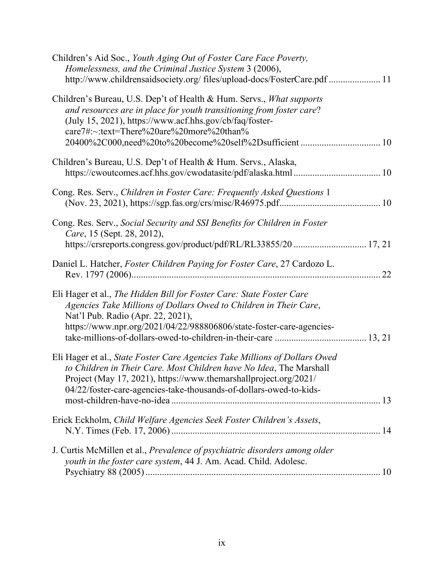| Children's Aid Soc., Youth Aging Out of Foster Care Face Poverty,<br>Homelessness, and the Criminal Justice System 3 (2006),<br>http://www.childrensaidsociety.org/ files/upload-docs/FosterCare.pdf  11                                                                                    |
|---------------------------------------------------------------------------------------------------------------------------------------------------------------------------------------------------------------------------------------------------------------------------------------------|
| Children's Bureau, U.S. Dep't of Health & Hum. Servs., What supports<br>and resources are in place for youth transitioning from foster care?<br>(July 15, 2021), https://www.acf.hhs.gov/cb/faq/foster-<br>care7#:~:text=There%20are%20more%20than%                                         |
| Children's Bureau, U.S. Dep't of Health & Hum. Servs., Alaska,                                                                                                                                                                                                                              |
| Cong. Res. Serv., Children in Foster Care: Frequently Asked Questions 1                                                                                                                                                                                                                     |
| Cong. Res. Serv., Social Security and SSI Benefits for Children in Foster<br>Care, 15 (Sept. 28, 2012),<br>https://crsreports.congress.gov/product/pdf/RL/RL33855/20  17, 21                                                                                                                |
| Daniel L. Hatcher, Foster Children Paying for Foster Care, 27 Cardozo L.                                                                                                                                                                                                                    |
| Eli Hager et al., The Hidden Bill for Foster Care: State Foster Care<br>Agencies Take Millions of Dollars Owed to Children in Their Care,<br>Nat'l Pub. Radio (Apr. 22, 2021),<br>https://www.npr.org/2021/04/22/988806806/state-foster-care-agencies-                                      |
| Eli Hager et al., State Foster Care Agencies Take Millions of Dollars Owed<br>to Children in Their Care. Most Children have No Idea, The Marshall<br>Project (May 17, 2021), https://www.themarshallproject.org/2021/<br>04/22/foster-care-agencies-take-thousands-of-dollars-owed-to-kids- |
| Erick Eckholm, Child Welfare Agencies Seek Foster Children's Assets,                                                                                                                                                                                                                        |
| J. Curtis McMillen et al., Prevalence of psychiatric disorders among older<br>youth in the foster care system, 44 J. Am. Acad. Child. Adolesc.                                                                                                                                              |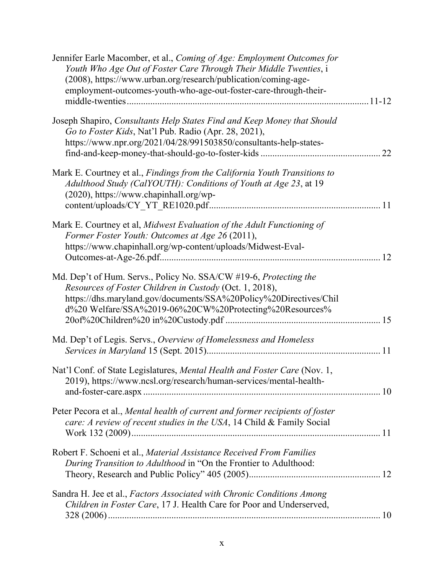| Jennifer Earle Macomber, et al., Coming of Age: Employment Outcomes for<br>Youth Who Age Out of Foster Care Through Their Middle Twenties, i<br>(2008), https://www.urban.org/research/publication/coming-age-<br>employment-outcomes-youth-who-age-out-foster-care-through-their- |    |
|------------------------------------------------------------------------------------------------------------------------------------------------------------------------------------------------------------------------------------------------------------------------------------|----|
| Joseph Shapiro, Consultants Help States Find and Keep Money that Should<br>Go to Foster Kids, Nat'l Pub. Radio (Apr. 28, 2021),<br>https://www.npr.org/2021/04/28/991503850/consultants-help-states-                                                                               | 22 |
| Mark E. Courtney et al., Findings from the California Youth Transitions to<br>Adulthood Study (CalYOUTH): Conditions of Youth at Age 23, at 19<br>(2020), https://www.chapinhall.org/wp-                                                                                           |    |
| Mark E. Courtney et al, Midwest Evaluation of the Adult Functioning of<br>Former Foster Youth: Outcomes at Age 26 (2011),<br>https://www.chapinhall.org/wp-content/uploads/Midwest-Eval-                                                                                           | 12 |
| Md. Dep't of Hum. Servs., Policy No. SSA/CW #19-6, Protecting the<br>Resources of Foster Children in Custody (Oct. 1, 2018),<br>https://dhs.maryland.gov/documents/SSA%20Policy%20Directives/Chil<br>d%20 Welfare/SSA%2019-06%20CW%20Protecting%20Resources%                       |    |
| Md. Dep't of Legis. Servs., Overview of Homelessness and Homeless                                                                                                                                                                                                                  |    |
| Nat'l Conf. of State Legislatures, Mental Health and Foster Care (Nov. 1,<br>2019), https://www.ncsl.org/research/human-services/mental-health-                                                                                                                                    |    |
| Peter Pecora et al., Mental health of current and former recipients of foster<br>care: A review of recent studies in the USA, 14 Child & Family Social                                                                                                                             |    |
| Robert F. Schoeni et al., Material Assistance Received From Families<br>During Transition to Adulthood in "On the Frontier to Adulthood:                                                                                                                                           |    |
| Sandra H. Jee et al., Factors Associated with Chronic Conditions Among<br>Children in Foster Care, 17 J. Health Care for Poor and Underserved,                                                                                                                                     |    |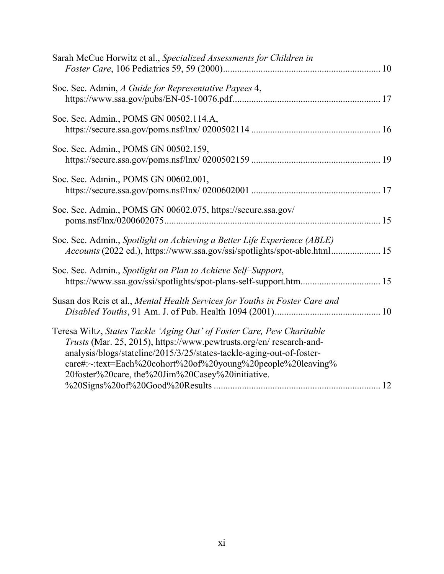| Sarah McCue Horwitz et al., Specialized Assessments for Children in                                                                                                                                                                                                                                                                      |
|------------------------------------------------------------------------------------------------------------------------------------------------------------------------------------------------------------------------------------------------------------------------------------------------------------------------------------------|
| Soc. Sec. Admin, A Guide for Representative Payees 4,                                                                                                                                                                                                                                                                                    |
| Soc. Sec. Admin., POMS GN 00502.114.A,                                                                                                                                                                                                                                                                                                   |
| Soc. Sec. Admin., POMS GN 00502.159,                                                                                                                                                                                                                                                                                                     |
| Soc. Sec. Admin., POMS GN 00602.001,                                                                                                                                                                                                                                                                                                     |
| Soc. Sec. Admin., POMS GN 00602.075, https://secure.ssa.gov/                                                                                                                                                                                                                                                                             |
| Soc. Sec. Admin., Spotlight on Achieving a Better Life Experience (ABLE)<br>Accounts (2022 ed.), https://www.ssa.gov/ssi/spotlights/spot-able.html 15                                                                                                                                                                                    |
| Soc. Sec. Admin., Spotlight on Plan to Achieve Self-Support,<br>https://www.ssa.gov/ssi/spotlights/spot-plans-self-support.htm 15                                                                                                                                                                                                        |
| Susan dos Reis et al., Mental Health Services for Youths in Foster Care and                                                                                                                                                                                                                                                              |
| Teresa Wiltz, States Tackle 'Aging Out' of Foster Care, Pew Charitable<br>Trusts (Mar. 25, 2015), https://www.pewtrusts.org/en/research-and-<br>analysis/blogs/stateline/2015/3/25/states-tackle-aging-out-of-foster-<br>care#:~:text=Each%20cohort%20of%20young%20people%20leaving%<br>20foster%20care, the%20Jim%20Casey%20initiative. |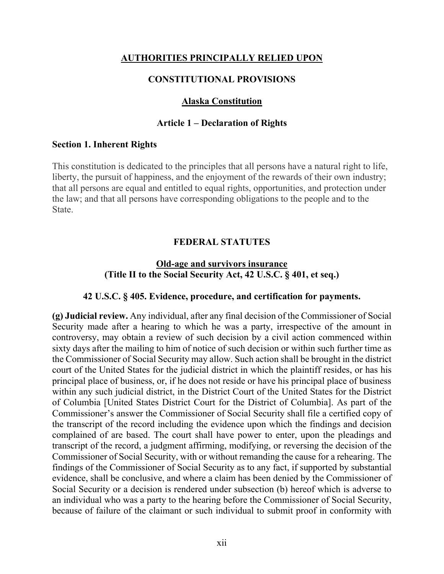### **AUTHORITIES PRINCIPALLY RELIED UPON**

### **CONSTITUTIONAL PROVISIONS**

### **Alaska Constitution**

#### **Article 1 – Declaration of Rights**

### **Section 1. Inherent Rights**

This constitution is dedicated to the principles that all persons have a natural right to life, liberty, the pursuit of happiness, and the enjoyment of the rewards of their own industry; that all persons are equal and entitled to equal rights, opportunities, and protection under the law; and that all persons have corresponding obligations to the people and to the State.

### **FEDERAL STATUTES**

### **Old-age and survivors insurance (Title II to the Social Security Act, 42 U.S.C. § 401, et seq.)**

#### **42 U.S.C. § 405. Evidence, procedure, and certification for payments.**

**(g) Judicial review.** Any individual, after any final decision of the Commissioner of Social Security made after a hearing to which he was a party, irrespective of the amount in controversy, may obtain a review of such decision by a civil action commenced within sixty days after the mailing to him of notice of such decision or within such further time as the Commissioner of Social Security may allow. Such action shall be brought in the district court of the United States for the judicial district in which the plaintiff resides, or has his principal place of business, or, if he does not reside or have his principal place of business within any such judicial district, in the District Court of the United States for the District of Columbia [United States District Court for the District of Columbia]. As part of the Commissioner's answer the Commissioner of Social Security shall file a certified copy of the transcript of the record including the evidence upon which the findings and decision complained of are based. The court shall have power to enter, upon the pleadings and transcript of the record, a judgment affirming, modifying, or reversing the decision of the Commissioner of Social Security, with or without remanding the cause for a rehearing. The findings of the Commissioner of Social Security as to any fact, if supported by substantial evidence, shall be conclusive, and where a claim has been denied by the Commissioner of Social Security or a decision is rendered under subsection (b) hereof which is adverse to an individual who was a party to the hearing before the Commissioner of Social Security, because of failure of the claimant or such individual to submit proof in conformity with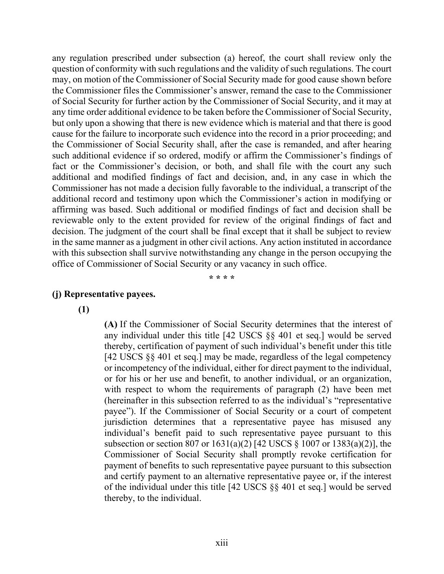any regulation prescribed under subsection (a) hereof, the court shall review only the question of conformity with such regulations and the validity of such regulations. The court may, on motion of the Commissioner of Social Security made for good cause shown before the Commissioner files the Commissioner's answer, remand the case to the Commissioner of Social Security for further action by the Commissioner of Social Security, and it may at any time order additional evidence to be taken before the Commissioner of Social Security, but only upon a showing that there is new evidence which is material and that there is good cause for the failure to incorporate such evidence into the record in a prior proceeding; and the Commissioner of Social Security shall, after the case is remanded, and after hearing such additional evidence if so ordered, modify or affirm the Commissioner's findings of fact or the Commissioner's decision, or both, and shall file with the court any such additional and modified findings of fact and decision, and, in any case in which the Commissioner has not made a decision fully favorable to the individual, a transcript of the additional record and testimony upon which the Commissioner's action in modifying or affirming was based. Such additional or modified findings of fact and decision shall be reviewable only to the extent provided for review of the original findings of fact and decision. The judgment of the court shall be final except that it shall be subject to review in the same manner as a judgment in other civil actions. Any action instituted in accordance with this subsection shall survive notwithstanding any change in the person occupying the office of Commissioner of Social Security or any vacancy in such office.

**\* \* \* \*** 

#### **(j) Representative payees.**

**(1)**

**(A)** If the Commissioner of Social Security determines that the interest of any individual under this title [42 USCS §§ 401 et seq.] would be served thereby, certification of payment of such individual's benefit under this title [42 USCS §§ 401 et seq.] may be made, regardless of the legal competency or incompetency of the individual, either for direct payment to the individual, or for his or her use and benefit, to another individual, or an organization, with respect to whom the requirements of paragraph (2) have been met (hereinafter in this subsection referred to as the individual's "representative payee"). If the Commissioner of Social Security or a court of competent jurisdiction determines that a representative payee has misused any individual's benefit paid to such representative payee pursuant to this subsection or section 807 or 1631(a)(2) [42 USCS § 1007 or 1383(a)(2)], the Commissioner of Social Security shall promptly revoke certification for payment of benefits to such representative payee pursuant to this subsection and certify payment to an alternative representative payee or, if the interest of the individual under this title [42 USCS §§ 401 et seq.] would be served thereby, to the individual.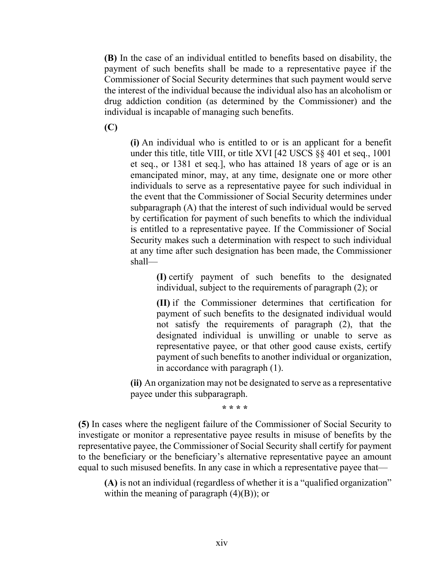**(B)** In the case of an individual entitled to benefits based on disability, the payment of such benefits shall be made to a representative payee if the Commissioner of Social Security determines that such payment would serve the interest of the individual because the individual also has an alcoholism or drug addiction condition (as determined by the Commissioner) and the individual is incapable of managing such benefits.

**(C)**

**(i)** An individual who is entitled to or is an applicant for a benefit under this title, title VIII, or title XVI [42 USCS §§ 401 et seq., 1001 et seq., or 1381 et seq.], who has attained 18 years of age or is an emancipated minor, may, at any time, designate one or more other individuals to serve as a representative payee for such individual in the event that the Commissioner of Social Security determines under subparagraph (A) that the interest of such individual would be served by certification for payment of such benefits to which the individual is entitled to a representative payee. If the Commissioner of Social Security makes such a determination with respect to such individual at any time after such designation has been made, the Commissioner shall—

> **(I)** certify payment of such benefits to the designated individual, subject to the requirements of paragraph (2); or

> **(II)** if the Commissioner determines that certification for payment of such benefits to the designated individual would not satisfy the requirements of paragraph (2), that the designated individual is unwilling or unable to serve as representative payee, or that other good cause exists, certify payment of such benefits to another individual or organization, in accordance with paragraph (1).

**(ii)** An organization may not be designated to serve as a representative payee under this subparagraph.

**\* \* \* \*** 

**(5)** In cases where the negligent failure of the Commissioner of Social Security to investigate or monitor a representative payee results in misuse of benefits by the representative payee, the Commissioner of Social Security shall certify for payment to the beneficiary or the beneficiary's alternative representative payee an amount equal to such misused benefits. In any case in which a representative payee that—

**(A)** is not an individual (regardless of whether it is a "qualified organization" within the meaning of paragraph  $(4)(B)$ ; or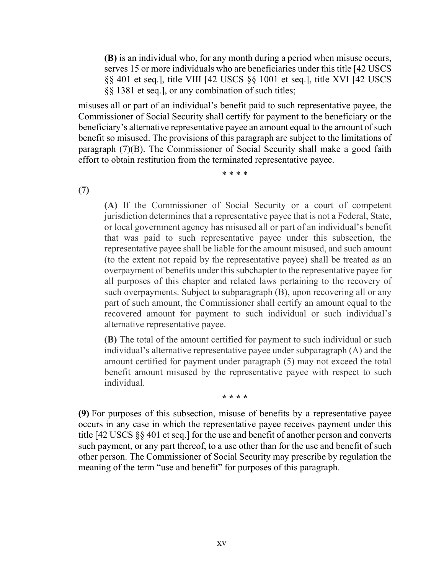**(B)** is an individual who, for any month during a period when misuse occurs, serves 15 or more individuals who are beneficiaries under this title [42 USCS §§ 401 et seq.], title VIII [42 USCS §§ 1001 et seq.], title XVI [42 USCS §§ 1381 et seq.], or any combination of such titles;

misuses all or part of an individual's benefit paid to such representative payee, the Commissioner of Social Security shall certify for payment to the beneficiary or the beneficiary's alternative representative payee an amount equal to the amount of such benefit so misused. The provisions of this paragraph are subject to the limitations of paragraph (7)(B). The Commissioner of Social Security shall make a good faith effort to obtain restitution from the terminated representative payee.

\* \* \* \*

**(7)**

**(A)** If the Commissioner of Social Security or a court of competent jurisdiction determines that a representative payee that is not a Federal, State, or local government agency has misused all or part of an individual's benefit that was paid to such representative payee under this subsection, the representative payee shall be liable for the amount misused, and such amount (to the extent not repaid by the representative payee) shall be treated as an overpayment of benefits under this subchapter to the representative payee for all purposes of this chapter and related laws pertaining to the recovery of such overpayments. Subject to subparagraph (B), upon recovering all or any part of such amount, the Commissioner shall certify an amount equal to the recovered amount for payment to such individual or such individual's alternative representative payee.

**(B)** The total of the amount certified for payment to such individual or such individual's alternative representative payee under subparagraph (A) and the amount certified for payment under paragraph (5) may not exceed the total benefit amount misused by the representative payee with respect to such individual.

**\* \* \* \*** 

**(9)** For purposes of this subsection, misuse of benefits by a representative payee occurs in any case in which the representative payee receives payment under this title [42 USCS §§ 401 et seq.] for the use and benefit of another person and converts such payment, or any part thereof, to a use other than for the use and benefit of such other person. The Commissioner of Social Security may prescribe by regulation the meaning of the term "use and benefit" for purposes of this paragraph.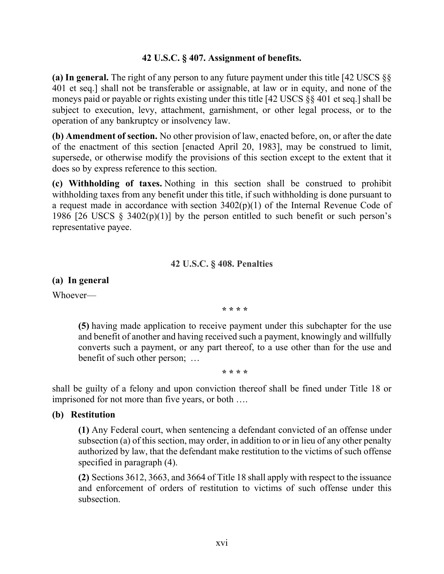### **42 U.S.C. § 407. Assignment of benefits.**

**(a) In general.** The right of any person to any future payment under this title [42 USCS §§ 401 et seq.] shall not be transferable or assignable, at law or in equity, and none of the moneys paid or payable or rights existing under this title [42 USCS §§ 401 et seq.] shall be subject to execution, levy, attachment, garnishment, or other legal process, or to the operation of any bankruptcy or insolvency law.

**(b) Amendment of section.** No other provision of law, enacted before, on, or after the date of the enactment of this section [enacted April 20, 1983], may be construed to limit, supersede, or otherwise modify the provisions of this section except to the extent that it does so by express reference to this section.

**(c) Withholding of taxes.** Nothing in this section shall be construed to prohibit withholding taxes from any benefit under this title, if such withholding is done pursuant to a request made in accordance with section  $3402(p)(1)$  of the Internal Revenue Code of 1986 [26 USCS  $\S$  3402(p)(1)] by the person entitled to such benefit or such person's representative payee.

### **42 U.S.C. § 408. Penalties**

**(a) In general**

Whoever—

**\* \* \* \*** 

**(5)** having made application to receive payment under this subchapter for the use and benefit of another and having received such a payment, knowingly and willfully converts such a payment, or any part thereof, to a use other than for the use and benefit of such other person; …

**\* \* \* \*** 

shall be guilty of a felony and upon conviction thereof shall be fined under Title 18 or imprisoned for not more than five years, or both ….

### **(b) Restitution**

**(1)** Any Federal court, when sentencing a defendant convicted of an offense under subsection (a) of this section, may order, in addition to or in lieu of any other penalty authorized by law, that the defendant make restitution to the victims of such offense specified in paragraph (4).

**(2)** Sections 3612, 3663, and 3664 of Title 18 shall apply with respect to the issuance and enforcement of orders of restitution to victims of such offense under this subsection.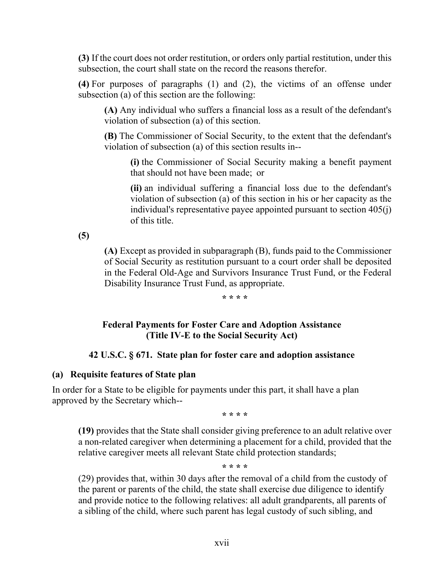**(3)** If the court does not order restitution, or orders only partial restitution, under this subsection, the court shall state on the record the reasons therefor.

**(4)** For purposes of paragraphs (1) and (2), the victims of an offense under subsection (a) of this section are the following:

**(A)** Any individual who suffers a financial loss as a result of the defendant's violation of subsection (a) of this section.

**(B)** The Commissioner of Social Security, to the extent that the defendant's violation of subsection (a) of this section results in--

**(i)** the Commissioner of Social Security making a benefit payment that should not have been made; or

**(ii)** an individual suffering a financial loss due to the defendant's violation of subsection (a) of this section in his or her capacity as the individual's representative payee appointed pursuant to section 405(j) of this title.

**(5)** 

**(A)** Except as provided in subparagraph (B), funds paid to the Commissioner of Social Security as restitution pursuant to a court order shall be deposited in the Federal Old-Age and Survivors Insurance Trust Fund, or the Federal Disability Insurance Trust Fund, as appropriate.

**\* \* \* \*** 

### **Federal Payments for Foster Care and Adoption Assistance (Title IV-E to the Social Security Act)**

### **42 U.S.C. § 671. State plan for foster care and adoption assistance**

### **(a) Requisite features of State plan**

In order for a State to be eligible for payments under this part, it shall have a plan approved by the Secretary which--

**\* \* \* \*** 

**(19)** provides that the State shall consider giving preference to an adult relative over a non-related caregiver when determining a placement for a child, provided that the relative caregiver meets all relevant State child protection standards;

**\* \* \* \*** 

(29) provides that, within 30 days after the removal of a child from the custody of the parent or parents of the child, the state shall exercise due diligence to identify and provide notice to the following relatives: all adult grandparents, all parents of a sibling of the child, where such parent has legal custody of such sibling, and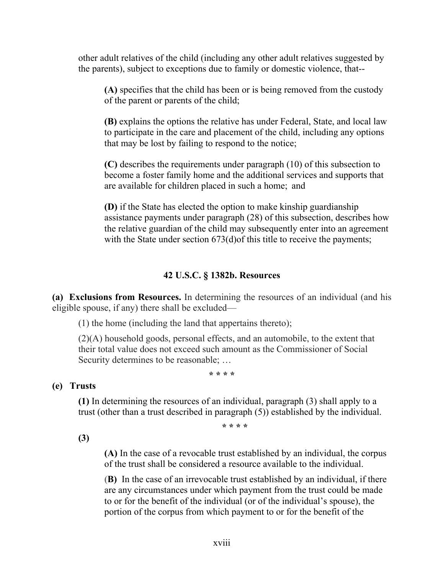other adult relatives of the child (including any other adult relatives suggested by the parents), subject to exceptions due to family or domestic violence, that--

**(A)** specifies that the child has been or is being removed from the custody of the parent or parents of the child;

**(B)** explains the options the relative has under Federal, State, and local law to participate in the care and placement of the child, including any options that may be lost by failing to respond to the notice;

**(C)** describes the requirements under paragraph (10) of this subsection to become a foster family home and the additional services and supports that are available for children placed in such a home; and

**(D)** if the State has elected the option to make kinship guardianship assistance payments under paragraph (28) of this subsection, describes how the relative guardian of the child may subsequently enter into an agreement with the State under section 673(d) of this title to receive the payments;

### **42 U.S.C. § 1382b. Resources**

**(a) Exclusions from Resources.** In determining the resources of an individual (and his eligible spouse, if any) there shall be excluded—

(1) the home (including the land that appertains thereto);

(2)(A) household goods, personal effects, and an automobile, to the extent that their total value does not exceed such amount as the Commissioner of Social Security determines to be reasonable; …

**\* \* \* \*** 

### **(e) Trusts**

**(1)** In determining the resources of an individual, paragraph (3) shall apply to a trust (other than a trust described in paragraph (5)) established by the individual.

**\* \* \* \*** 

**(3)** 

**(A)** In the case of a revocable trust established by an individual, the corpus of the trust shall be considered a resource available to the individual.

**(B)** In the case of an irrevocable trust established by an individual, if there are any circumstances under which payment from the trust could be made to or for the benefit of the individual (or of the individual's spouse), the portion of the corpus from which payment to or for the benefit of the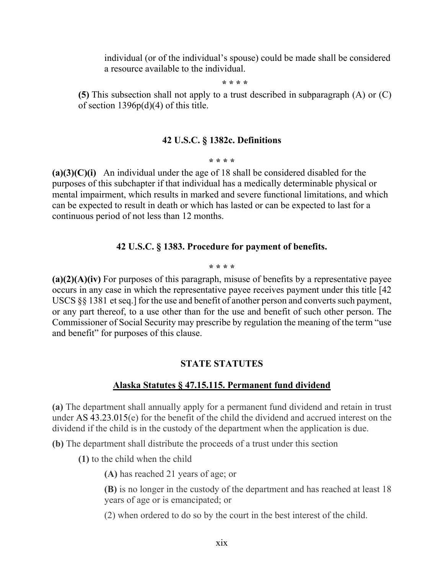individual (or of the individual's spouse) could be made shall be considered a resource available to the individual.

**\* \* \* \*** 

**(5)** This subsection shall not apply to a trust described in subparagraph (A) or (C) of section  $1396p(d)(4)$  of this title.

#### **42 U.S.C. § 1382c. Definitions**

**\* \* \* \*** 

**(a)(3)(C)(i)** An individual under the age of 18 shall be considered disabled for the purposes of this subchapter if that individual has a medically determinable physical or mental impairment, which results in marked and severe functional limitations, and which can be expected to result in death or which has lasted or can be expected to last for a continuous period of not less than 12 months.

### **42 U.S.C. § 1383. Procedure for payment of benefits.**

#### **\* \* \* \***

**(a)(2)(A)(iv)** For purposes of this paragraph, misuse of benefits by a representative payee occurs in any case in which the representative payee receives payment under this title [42 USCS §§ 1381 et seq.] for the use and benefit of another person and converts such payment, or any part thereof, to a use other than for the use and benefit of such other person. The Commissioner of Social Security may prescribe by regulation the meaning of the term "use and benefit" for purposes of this clause.

### **STATE STATUTES**

### **Alaska Statutes § 47.15.115. Permanent fund dividend**

**(a)** The department shall annually apply for a permanent fund dividend and retain in trust under AS 43.23.015(e) for the benefit of the child the dividend and accrued interest on the dividend if the child is in the custody of the department when the application is due.

**(b)** The department shall distribute the proceeds of a trust under this section

**(1)** to the child when the child

**(A)** has reached 21 years of age; or

**(B)** is no longer in the custody of the department and has reached at least 18 years of age or is emancipated; or

(2) when ordered to do so by the court in the best interest of the child.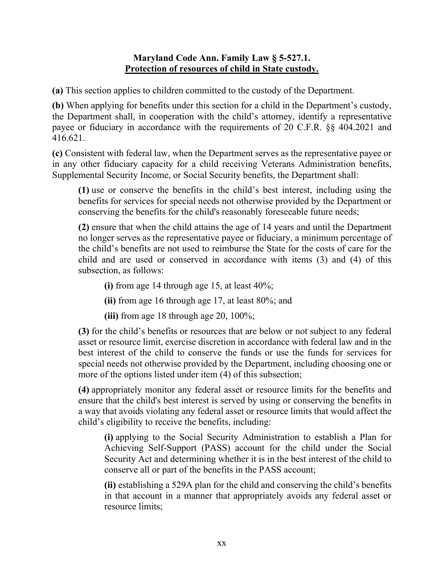### **Maryland Code Ann. Family Law § 5-527.1. Protection of resources of child in State custody.**

**(a)** This section applies to children committed to the custody of the Department.

**(b)** When applying for benefits under this section for a child in the Department's custody, the Department shall, in cooperation with the child's attorney, identify a representative payee or fiduciary in accordance with the requirements of 20 C.F.R. §§ 404.2021 and 416.621.

**(c)** Consistent with federal law, when the Department serves as the representative payee or in any other fiduciary capacity for a child receiving Veterans Administration benefits, Supplemental Security Income, or Social Security benefits, the Department shall:

**(1)** use or conserve the benefits in the child's best interest, including using the benefits for services for special needs not otherwise provided by the Department or conserving the benefits for the child's reasonably foreseeable future needs;

**(2)** ensure that when the child attains the age of 14 years and until the Department no longer serves as the representative payee or fiduciary, a minimum percentage of the child's benefits are not used to reimburse the State for the costs of care for the child and are used or conserved in accordance with items (3) and (4) of this subsection, as follows:

**(i)** from age 14 through age 15, at least 40%;

**(ii)** from age 16 through age 17, at least 80%; and

**(iii)** from age 18 through age 20, 100%;

**(3)** for the child's benefits or resources that are below or not subject to any federal asset or resource limit, exercise discretion in accordance with federal law and in the best interest of the child to conserve the funds or use the funds for services for special needs not otherwise provided by the Department, including choosing one or more of the options listed under item (4) of this subsection;

**(4)** appropriately monitor any federal asset or resource limits for the benefits and ensure that the child's best interest is served by using or conserving the benefits in a way that avoids violating any federal asset or resource limits that would affect the child's eligibility to receive the benefits, including:

**(i)** applying to the Social Security Administration to establish a Plan for Achieving Self-Support (PASS) account for the child under the Social Security Act and determining whether it is in the best interest of the child to conserve all or part of the benefits in the PASS account;

**(ii)** establishing a 529A plan for the child and conserving the child's benefits in that account in a manner that appropriately avoids any federal asset or resource limits;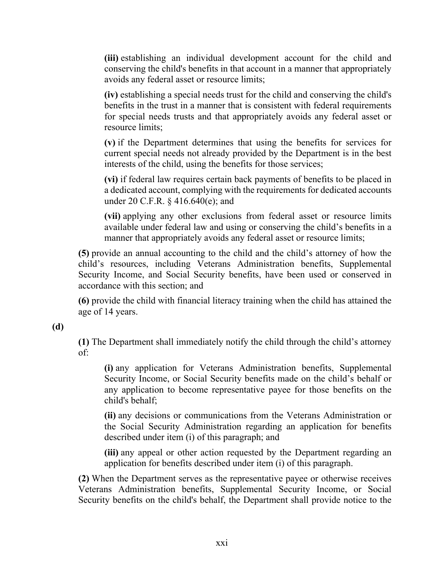**(iii)** establishing an individual development account for the child and conserving the child's benefits in that account in a manner that appropriately avoids any federal asset or resource limits;

**(iv)** establishing a special needs trust for the child and conserving the child's benefits in the trust in a manner that is consistent with federal requirements for special needs trusts and that appropriately avoids any federal asset or resource limits;

**(v)** if the Department determines that using the benefits for services for current special needs not already provided by the Department is in the best interests of the child, using the benefits for those services;

**(vi)** if federal law requires certain back payments of benefits to be placed in a dedicated account, complying with the requirements for dedicated accounts under 20 C.F.R. § 416.640(e); and

**(vii)** applying any other exclusions from federal asset or resource limits available under federal law and using or conserving the child's benefits in a manner that appropriately avoids any federal asset or resource limits;

**(5)** provide an annual accounting to the child and the child's attorney of how the child's resources, including Veterans Administration benefits, Supplemental Security Income, and Social Security benefits, have been used or conserved in accordance with this section; and

**(6)** provide the child with financial literacy training when the child has attained the age of 14 years.

### **(d)**

**(1)** The Department shall immediately notify the child through the child's attorney of:

**(i)** any application for Veterans Administration benefits, Supplemental Security Income, or Social Security benefits made on the child's behalf or any application to become representative payee for those benefits on the child's behalf;

**(ii)** any decisions or communications from the Veterans Administration or the Social Security Administration regarding an application for benefits described under item (i) of this paragraph; and

**(iii)** any appeal or other action requested by the Department regarding an application for benefits described under item (i) of this paragraph.

**(2)** When the Department serves as the representative payee or otherwise receives Veterans Administration benefits, Supplemental Security Income, or Social Security benefits on the child's behalf, the Department shall provide notice to the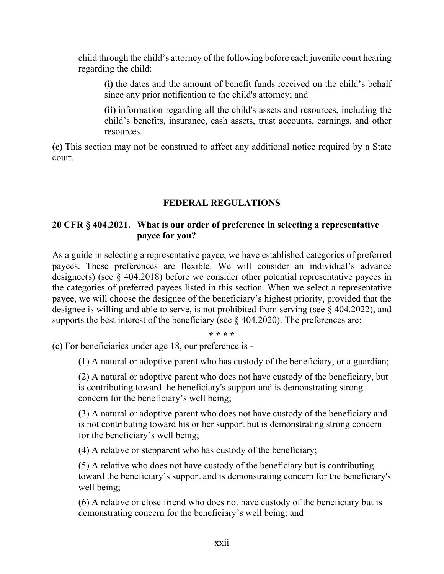child through the child's attorney of the following before each juvenile court hearing regarding the child:

**(i)** the dates and the amount of benefit funds received on the child's behalf since any prior notification to the child's attorney; and

**(ii)** information regarding all the child's assets and resources, including the child's benefits, insurance, cash assets, trust accounts, earnings, and other resources.

**(e)** This section may not be construed to affect any additional notice required by a State court.

## **FEDERAL REGULATIONS**

## **20 CFR § 404.2021. What is our order of preference in selecting a representative payee for you?**

As a guide in selecting a representative payee, we have established categories of preferred payees. These preferences are flexible. We will consider an individual's advance designee(s) (see § 404.2018) before we consider other potential representative payees in the categories of preferred payees listed in this section. When we select a representative payee, we will choose the designee of the beneficiary's highest priority, provided that the designee is willing and able to serve, is not prohibited from serving (see § 404.2022), and supports the best interest of the beneficiary (see § 404.2020). The preferences are:

**\* \* \* \*** 

(c) For beneficiaries under age 18, our preference is -

(1) A natural or adoptive parent who has custody of the beneficiary, or a guardian;

(2) A natural or adoptive parent who does not have custody of the beneficiary, but is contributing toward the beneficiary's support and is demonstrating strong concern for the beneficiary's well being;

(3) A natural or adoptive parent who does not have custody of the beneficiary and is not contributing toward his or her support but is demonstrating strong concern for the beneficiary's well being;

(4) A relative or stepparent who has custody of the beneficiary;

(5) A relative who does not have custody of the beneficiary but is contributing toward the beneficiary's support and is demonstrating concern for the beneficiary's well being;

(6) A relative or close friend who does not have custody of the beneficiary but is demonstrating concern for the beneficiary's well being; and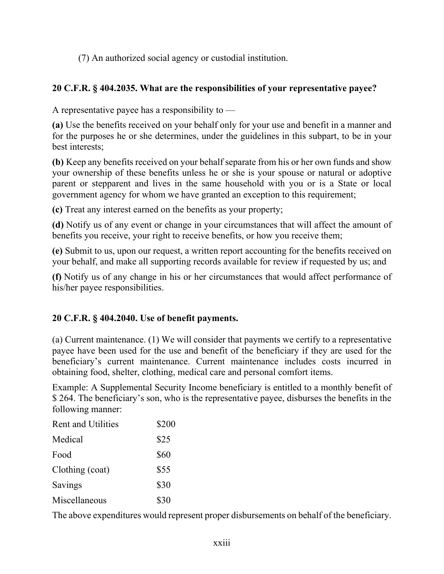(7) An authorized social agency or custodial institution.

## **20 C.F.R. § 404.2035. What are the responsibilities of your representative payee?**

A representative payee has a responsibility to —

**(a)** Use the benefits received on your behalf only for your use and benefit in a manner and for the purposes he or she determines, under the guidelines in this subpart, to be in your best interests;

**(b)** Keep any benefits received on your behalf separate from his or her own funds and show your ownership of these benefits unless he or she is your spouse or natural or adoptive parent or stepparent and lives in the same household with you or is a State or local government agency for whom we have granted an exception to this requirement;

**(c)** Treat any interest earned on the benefits as your property;

**(d)** Notify us of any event or change in your circumstances that will affect the amount of benefits you receive, your right to receive benefits, or how you receive them;

**(e)** Submit to us, upon our request, a written report accounting for the benefits received on your behalf, and make all supporting records available for review if requested by us; and

**(f)** Notify us of any change in his or her circumstances that would affect performance of his/her payee responsibilities.

## **20 C.F.R. § 404.2040. Use of benefit payments.**

(a) Current maintenance. (1) We will consider that payments we certify to a representative payee have been used for the use and benefit of the beneficiary if they are used for the beneficiary's current maintenance. Current maintenance includes costs incurred in obtaining food, shelter, clothing, medical care and personal comfort items.

Example: A Supplemental Security Income beneficiary is entitled to a monthly benefit of \$ 264. The beneficiary's son, who is the representative payee, disburses the benefits in the following manner:

| <b>Rent and Utilities</b> | \$200 |
|---------------------------|-------|
| Medical                   | \$25  |
| Food                      | \$60  |
| Clothing (coat)           | \$55  |
| Savings                   | \$30  |
| Miscellaneous             | \$30  |

The above expenditures would represent proper disbursements on behalf of the beneficiary.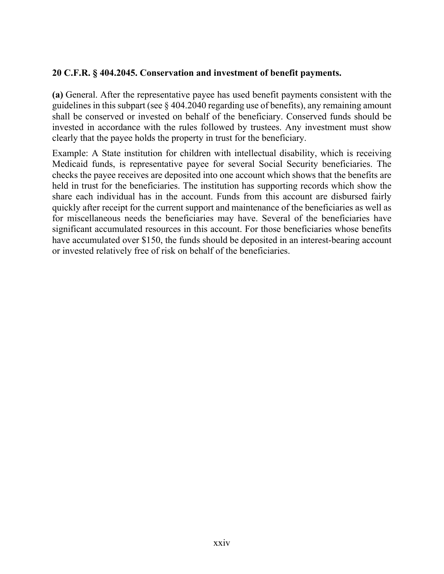## **20 C.F.R. § 404.2045. Conservation and investment of benefit payments.**

**(a)** General. After the representative payee has used benefit payments consistent with the guidelines in this subpart (see § 404.2040 regarding use of benefits), any remaining amount shall be conserved or invested on behalf of the beneficiary. Conserved funds should be invested in accordance with the rules followed by trustees. Any investment must show clearly that the payee holds the property in trust for the beneficiary.

Example: A State institution for children with intellectual disability, which is receiving Medicaid funds, is representative payee for several Social Security beneficiaries. The checks the payee receives are deposited into one account which shows that the benefits are held in trust for the beneficiaries. The institution has supporting records which show the share each individual has in the account. Funds from this account are disbursed fairly quickly after receipt for the current support and maintenance of the beneficiaries as well as for miscellaneous needs the beneficiaries may have. Several of the beneficiaries have significant accumulated resources in this account. For those beneficiaries whose benefits have accumulated over \$150, the funds should be deposited in an interest-bearing account or invested relatively free of risk on behalf of the beneficiaries.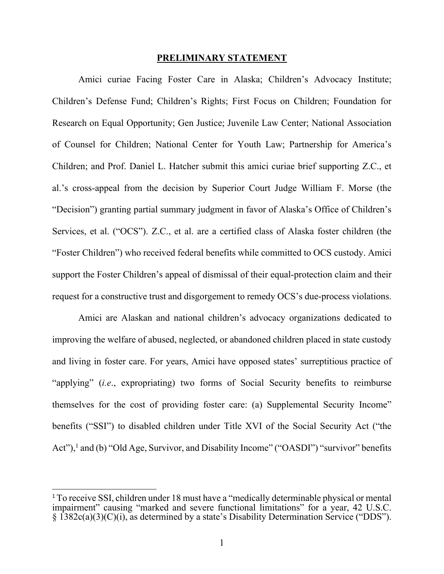#### **PRELIMINARY STATEMENT**

 Amici curiae Facing Foster Care in Alaska; Children's Advocacy Institute; Children's Defense Fund; Children's Rights; First Focus on Children; Foundation for Research on Equal Opportunity; Gen Justice; Juvenile Law Center; National Association of Counsel for Children; National Center for Youth Law; Partnership for America's Children; and Prof. Daniel L. Hatcher submit this amici curiae brief supporting Z.C., et al.'s cross-appeal from the decision by Superior Court Judge William F. Morse (the "Decision") granting partial summary judgment in favor of Alaska's Office of Children's Services, et al. ("OCS"). Z.C., et al. are a certified class of Alaska foster children (the "Foster Children") who received federal benefits while committed to OCS custody. Amici support the Foster Children's appeal of dismissal of their equal-protection claim and their request for a constructive trust and disgorgement to remedy OCS's due-process violations.

 Amici are Alaskan and national children's advocacy organizations dedicated to improving the welfare of abused, neglected, or abandoned children placed in state custody and living in foster care. For years, Amici have opposed states' surreptitious practice of "applying" (*i.e*., expropriating) two forms of Social Security benefits to reimburse themselves for the cost of providing foster care: (a) Supplemental Security Income" benefits ("SSI") to disabled children under Title XVI of the Social Security Act ("the Act"),<sup>1</sup> and (b) "Old Age, Survivor, and Disability Income" ("OASDI") "survivor" benefits

<sup>&</sup>lt;sup>1</sup> To receive SSI, children under 18 must have a "medically determinable physical or mental impairment" causing "marked and severe functional limitations" for a year, 42 U.S.C. § 1382c(a)(3)(C)(i), as determined by a state's Disability Determination Service ("DDS").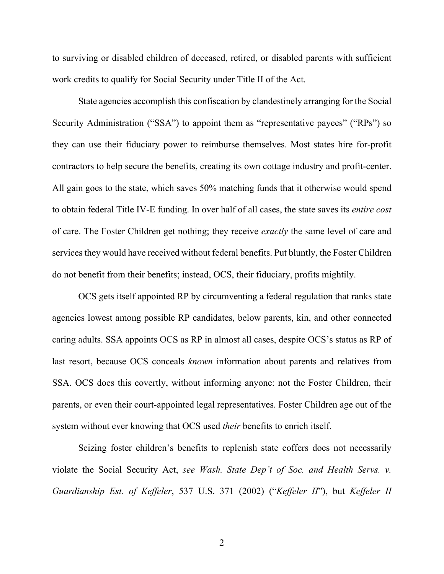to surviving or disabled children of deceased, retired, or disabled parents with sufficient work credits to qualify for Social Security under Title II of the Act.

 State agencies accomplish this confiscation by clandestinely arranging for the Social Security Administration ("SSA") to appoint them as "representative payees" ("RPs") so they can use their fiduciary power to reimburse themselves. Most states hire for-profit contractors to help secure the benefits, creating its own cottage industry and profit-center. All gain goes to the state, which saves 50% matching funds that it otherwise would spend to obtain federal Title IV-E funding. In over half of all cases, the state saves its *entire cost* of care. The Foster Children get nothing; they receive *exactly* the same level of care and services they would have received without federal benefits. Put bluntly, the Foster Children do not benefit from their benefits; instead, OCS, their fiduciary, profits mightily.

 OCS gets itself appointed RP by circumventing a federal regulation that ranks state agencies lowest among possible RP candidates, below parents, kin, and other connected caring adults. SSA appoints OCS as RP in almost all cases, despite OCS's status as RP of last resort, because OCS conceals *known* information about parents and relatives from SSA. OCS does this covertly, without informing anyone: not the Foster Children, their parents, or even their court-appointed legal representatives. Foster Children age out of the system without ever knowing that OCS used *their* benefits to enrich itself.

 Seizing foster children's benefits to replenish state coffers does not necessarily violate the Social Security Act, *see Wash. State Dep't of Soc. and Health Servs. v. Guardianship Est. of Keffeler*, 537 U.S. 371 (2002) ("*Keffeler II*"), but *Keffeler II*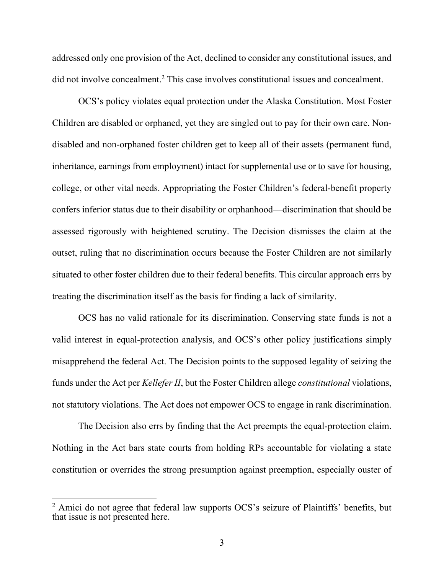addressed only one provision of the Act, declined to consider any constitutional issues, and did not involve concealment.<sup>2</sup> This case involves constitutional issues and concealment.

 OCS's policy violates equal protection under the Alaska Constitution. Most Foster Children are disabled or orphaned, yet they are singled out to pay for their own care. Nondisabled and non-orphaned foster children get to keep all of their assets (permanent fund, inheritance, earnings from employment) intact for supplemental use or to save for housing, college, or other vital needs. Appropriating the Foster Children's federal-benefit property confers inferior status due to their disability or orphanhood—discrimination that should be assessed rigorously with heightened scrutiny. The Decision dismisses the claim at the outset, ruling that no discrimination occurs because the Foster Children are not similarly situated to other foster children due to their federal benefits. This circular approach errs by treating the discrimination itself as the basis for finding a lack of similarity.

 OCS has no valid rationale for its discrimination. Conserving state funds is not a valid interest in equal-protection analysis, and OCS's other policy justifications simply misapprehend the federal Act. The Decision points to the supposed legality of seizing the funds under the Act per *Kellefer II*, but the Foster Children allege *constitutional* violations, not statutory violations. The Act does not empower OCS to engage in rank discrimination.

 The Decision also errs by finding that the Act preempts the equal-protection claim. Nothing in the Act bars state courts from holding RPs accountable for violating a state constitution or overrides the strong presumption against preemption, especially ouster of

<sup>&</sup>lt;sup>2</sup> Amici do not agree that federal law supports OCS's seizure of Plaintiffs' benefits, but that issue is not presented here.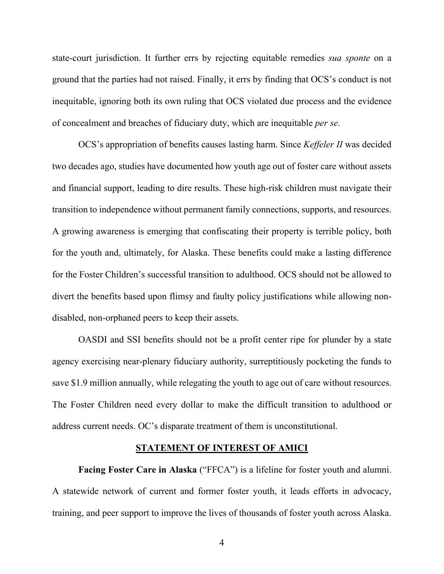state-court jurisdiction. It further errs by rejecting equitable remedies *sua sponte* on a ground that the parties had not raised. Finally, it errs by finding that OCS's conduct is not inequitable, ignoring both its own ruling that OCS violated due process and the evidence of concealment and breaches of fiduciary duty, which are inequitable *per se*.

 OCS's appropriation of benefits causes lasting harm. Since *Keffeler II* was decided two decades ago, studies have documented how youth age out of foster care without assets and financial support, leading to dire results. These high-risk children must navigate their transition to independence without permanent family connections, supports, and resources. A growing awareness is emerging that confiscating their property is terrible policy, both for the youth and, ultimately, for Alaska. These benefits could make a lasting difference for the Foster Children's successful transition to adulthood. OCS should not be allowed to divert the benefits based upon flimsy and faulty policy justifications while allowing nondisabled, non-orphaned peers to keep their assets.

 OASDI and SSI benefits should not be a profit center ripe for plunder by a state agency exercising near-plenary fiduciary authority, surreptitiously pocketing the funds to save \$1.9 million annually, while relegating the youth to age out of care without resources. The Foster Children need every dollar to make the difficult transition to adulthood or address current needs. OC's disparate treatment of them is unconstitutional.

#### **STATEMENT OF INTEREST OF AMICI**

**Facing Foster Care in Alaska** ("FFCA") is a lifeline for foster youth and alumni. A statewide network of current and former foster youth, it leads efforts in advocacy, training, and peer support to improve the lives of thousands of foster youth across Alaska.

4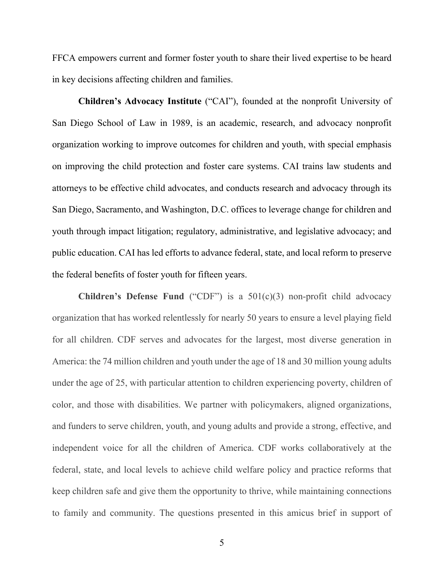FFCA empowers current and former foster youth to share their lived expertise to be heard in key decisions affecting children and families.

**Children's Advocacy Institute** ("CAI"), founded at the nonprofit University of San Diego School of Law in 1989, is an academic, research, and advocacy nonprofit organization working to improve outcomes for children and youth, with special emphasis on improving the child protection and foster care systems. CAI trains law students and attorneys to be effective child advocates, and conducts research and advocacy through its San Diego, Sacramento, and Washington, D.C. offices to leverage change for children and youth through impact litigation; regulatory, administrative, and legislative advocacy; and public education. CAI has led efforts to advance federal, state, and local reform to preserve the federal benefits of foster youth for fifteen years.

**Children's Defense Fund** ("CDF") is a 501(c)(3) non-profit child advocacy organization that has worked relentlessly for nearly 50 years to ensure a level playing field for all children. CDF serves and advocates for the largest, most diverse generation in America: the 74 million children and youth under the age of 18 and 30 million young adults under the age of 25, with particular attention to children experiencing poverty, children of color, and those with disabilities. We partner with policymakers, aligned organizations, and funders to serve children, youth, and young adults and provide a strong, effective, and independent voice for all the children of America. CDF works collaboratively at the federal, state, and local levels to achieve child welfare policy and practice reforms that keep children safe and give them the opportunity to thrive, while maintaining connections to family and community. The questions presented in this amicus brief in support of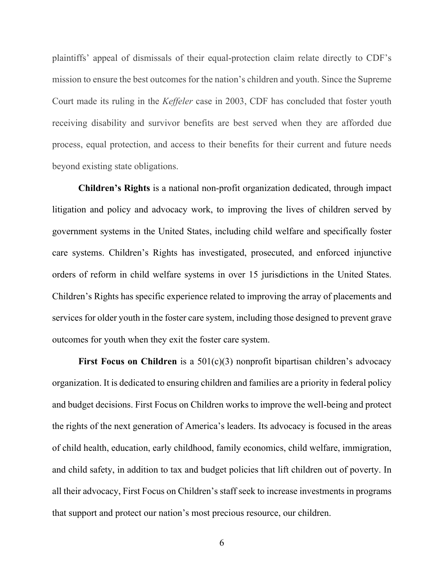plaintiffs' appeal of dismissals of their equal-protection claim relate directly to CDF's mission to ensure the best outcomes for the nation's children and youth. Since the Supreme Court made its ruling in the *Keffeler* case in 2003, CDF has concluded that foster youth receiving disability and survivor benefits are best served when they are afforded due process, equal protection, and access to their benefits for their current and future needs beyond existing state obligations.

**Children's Rights** is a national non-profit organization dedicated, through impact litigation and policy and advocacy work, to improving the lives of children served by government systems in the United States, including child welfare and specifically foster care systems. Children's Rights has investigated, prosecuted, and enforced injunctive orders of reform in child welfare systems in over 15 jurisdictions in the United States. Children's Rights has specific experience related to improving the array of placements and services for older youth in the foster care system, including those designed to prevent grave outcomes for youth when they exit the foster care system.

**First Focus on Children** is a 501(c)(3) nonprofit bipartisan children's advocacy organization. It is dedicated to ensuring children and families are a priority in federal policy and budget decisions. First Focus on Children works to improve the well-being and protect the rights of the next generation of America's leaders. Its advocacy is focused in the areas of child health, education, early childhood, family economics, child welfare, immigration, and child safety, in addition to tax and budget policies that lift children out of poverty. In all their advocacy, First Focus on Children's staff seek to increase investments in programs that support and protect our nation's most precious resource, our children.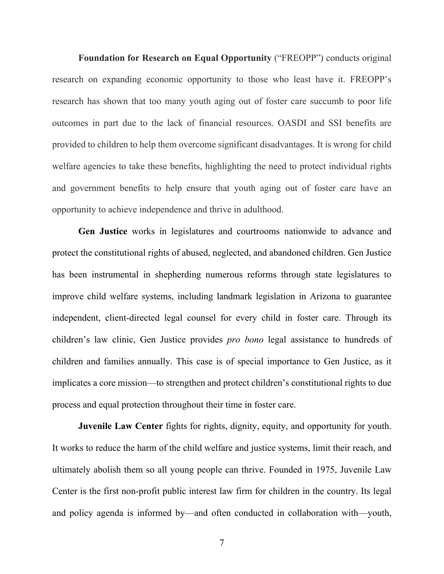**Foundation for Research on Equal Opportunity** ("FREOPP") conducts original research on expanding economic opportunity to those who least have it. FREOPP's research has shown that too many youth aging out of foster care succumb to poor life outcomes in part due to the lack of financial resources. OASDI and SSI benefits are provided to children to help them overcome significant disadvantages. It is wrong for child welfare agencies to take these benefits, highlighting the need to protect individual rights and government benefits to help ensure that youth aging out of foster care have an opportunity to achieve independence and thrive in adulthood.

**Gen Justice** works in legislatures and courtrooms nationwide to advance and protect the constitutional rights of abused, neglected, and abandoned children. Gen Justice has been instrumental in shepherding numerous reforms through state legislatures to improve child welfare systems, including landmark legislation in Arizona to guarantee independent, client-directed legal counsel for every child in foster care. Through its children's law clinic, Gen Justice provides *pro bono* legal assistance to hundreds of children and families annually. This case is of special importance to Gen Justice, as it implicates a core mission—to strengthen and protect children's constitutional rights to due process and equal protection throughout their time in foster care.

**Juvenile Law Center** fights for rights, dignity, equity, and opportunity for youth. It works to reduce the harm of the child welfare and justice systems, limit their reach, and ultimately abolish them so all young people can thrive. Founded in 1975, Juvenile Law Center is the first non-profit public interest law firm for children in the country. Its legal and policy agenda is informed by—and often conducted in collaboration with—youth,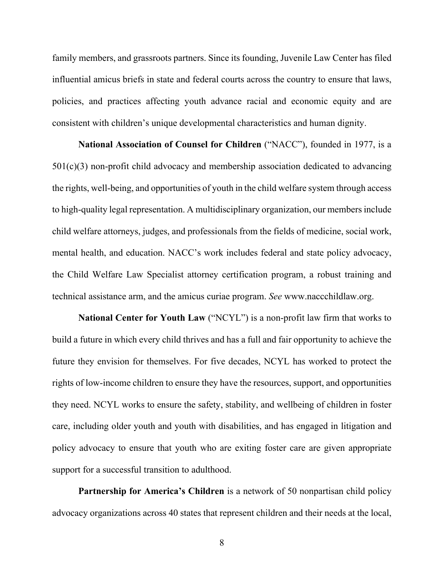family members, and grassroots partners. Since its founding, Juvenile Law Center has filed influential amicus briefs in state and federal courts across the country to ensure that laws, policies, and practices affecting youth advance racial and economic equity and are consistent with children's unique developmental characteristics and human dignity.

**National Association of Counsel for Children** ("NACC"), founded in 1977, is a  $501(c)(3)$  non-profit child advocacy and membership association dedicated to advancing the rights, well-being, and opportunities of youth in the child welfare system through access to high-quality legal representation. A multidisciplinary organization, our members include child welfare attorneys, judges, and professionals from the fields of medicine, social work, mental health, and education. NACC's work includes federal and state policy advocacy, the Child Welfare Law Specialist attorney certification program, a robust training and technical assistance arm, and the amicus curiae program. *See* www.naccchildlaw.org.

**National Center for Youth Law** ("NCYL") is a non-profit law firm that works to build a future in which every child thrives and has a full and fair opportunity to achieve the future they envision for themselves. For five decades, NCYL has worked to protect the rights of low-income children to ensure they have the resources, support, and opportunities they need. NCYL works to ensure the safety, stability, and wellbeing of children in foster care, including older youth and youth with disabilities, and has engaged in litigation and policy advocacy to ensure that youth who are exiting foster care are given appropriate support for a successful transition to adulthood.

**Partnership for America's Children** is a network of 50 nonpartisan child policy advocacy organizations across 40 states that represent children and their needs at the local,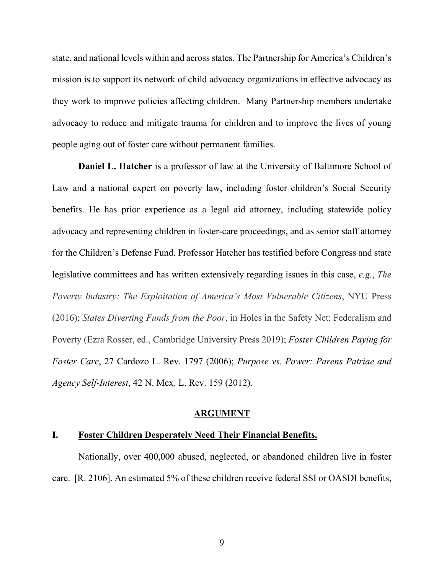state, and national levels within and across states. The Partnership for America's Children's mission is to support its network of child advocacy organizations in effective advocacy as they work to improve policies affecting children. Many Partnership members undertake advocacy to reduce and mitigate trauma for children and to improve the lives of young people aging out of foster care without permanent families.

**Daniel L. Hatcher** is a professor of law at the University of Baltimore School of Law and a national expert on poverty law, including foster children's Social Security benefits. He has prior experience as a legal aid attorney, including statewide policy advocacy and representing children in foster-care proceedings, and as senior staff attorney for the Children's Defense Fund. Professor Hatcher has testified before Congress and state legislative committees and has written extensively regarding issues in this case, *e.g.*, *The Poverty Industry: The Exploitation of America's Most Vulnerable Citizens*, NYU Press (2016); *States Diverting Funds from the Poor*, in Holes in the Safety Net: Federalism and Poverty (Ezra Rosser, ed., Cambridge University Press 2019); *Foster Children Paying for Foster Care*, 27 Cardozo L. Rev. 1797 (2006); *Purpose vs. Power: Parens Patriae and Agency Self-Interest*, 42 N. Mex. L. Rev. 159 (2012).

#### **ARGUMENT**

### **I. Foster Children Desperately Need Their Financial Benefits.**

 Nationally, over 400,000 abused, neglected, or abandoned children live in foster care. [R. 2106]. An estimated 5% of these children receive federal SSI or OASDI benefits,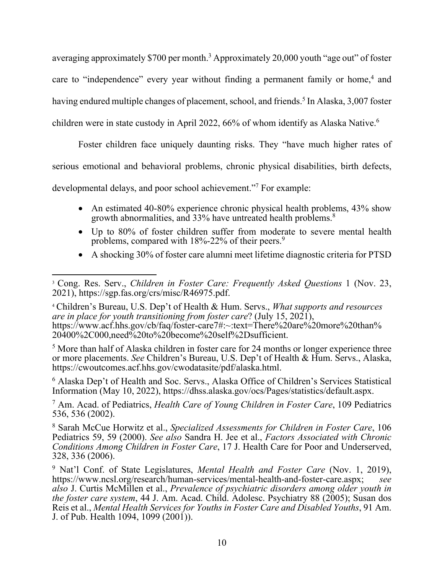averaging approximately \$700 per month.<sup>3</sup> Approximately 20,000 youth "age out" of foster care to "independence" every year without finding a permanent family or home,<sup>4</sup> and having endured multiple changes of placement, school, and friends.<sup>5</sup> In Alaska, 3,007 foster children were in state custody in April 2022, 66% of whom identify as Alaska Native.<sup>6</sup>

Foster children face uniquely daunting risks. They "have much higher rates of serious emotional and behavioral problems, chronic physical disabilities, birth defects, developmental delays, and poor school achievement."7 For example:

- An estimated 40-80% experience chronic physical health problems, 43% show growth abnormalities, and 33% have untreated health problems.<sup>8</sup>
- Up to 80% of foster children suffer from moderate to severe mental health problems, compared with 18%-22% of their peers.<sup>9</sup>
- A shocking 30% of foster care alumni meet lifetime diagnostic criteria for PTSD

<sup>5</sup> More than half of Alaska children in foster care for 24 months or longer experience three or more placements. *See* Children's Bureau, U.S. Dep't of Health & Hum. Servs., Alaska, https://cwoutcomes.acf.hhs.gov/cwodatasite/pdf/alaska.html.

<sup>6</sup> Alaska Dep't of Health and Soc. Servs., Alaska Office of Children's Services Statistical Information (May 10, 2022), https://dhss.alaska.gov/ocs/Pages/statistics/default.aspx.

<sup>3</sup> Cong. Res. Serv., *Children in Foster Care: Frequently Asked Questions* 1 (Nov. 23, 2021), https://sgp.fas.org/crs/misc/R46975.pdf.

<sup>4</sup> Children's Bureau, U.S. Dep't of Health & Hum. Servs., *What supports and resources are in place for youth transitioning from foster care*? (July 15, 2021), https://www.acf.hhs.gov/cb/faq/foster-care7#:~:text=There%20are%20more%20than% 20400%2C000,need%20to%20become%20self%2Dsufficient.

<sup>7</sup> Am. Acad. of Pediatrics, *Health Care of Young Children in Foster Care*, 109 Pediatrics 536, 536 (2002).

<sup>8</sup> Sarah McCue Horwitz et al., *Specialized Assessments for Children in Foster Care*, 106 Pediatrics 59, 59 (2000). *See also* Sandra H. Jee et al., *Factors Associated with Chronic Conditions Among Children in Foster Care*, 17 J. Health Care for Poor and Underserved, 328, 336 (2006).

<sup>9</sup> Nat'l Conf. of State Legislatures, *Mental Health and Foster Care* (Nov. 1, 2019), https://www.ncsl.org/research/human-services/mental-health-and-foster-care.aspx; *see also* J. Curtis McMillen et al., *Prevalence of psychiatric disorders among older youth in the foster care system*, 44 J. Am. Acad. Child. Adolesc. Psychiatry 88 (2005); Susan dos Reis et al., *Mental Health Services for Youths in Foster Care and Disabled Youths*, 91 Am. J. of Pub. Health 1094, 1099 (2001)).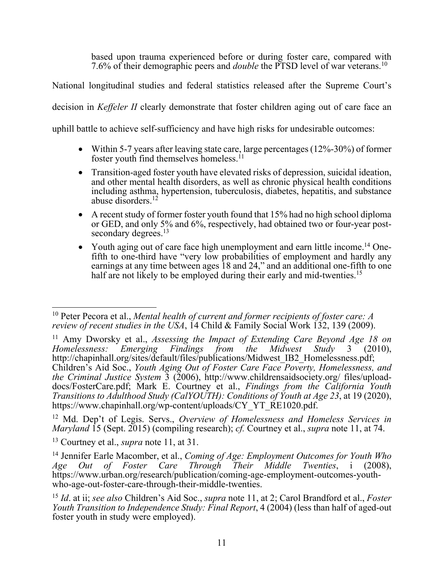based upon trauma experienced before or during foster care, compared with 7.6% of their demographic peers and *double* the PTSD level of war veterans.10

National longitudinal studies and federal statistics released after the Supreme Court's

decision in *Keffeler II* clearly demonstrate that foster children aging out of care face an

uphill battle to achieve self-sufficiency and have high risks for undesirable outcomes:

- Within 5-7 years after leaving state care, large percentages (12%-30%) of former foster youth find themselves homeless.<sup>11</sup>
- Transition-aged foster youth have elevated risks of depression, suicidal ideation, and other mental health disorders, as well as chronic physical health conditions including asthma, hypertension, tuberculosis, diabetes, hepatitis, and substance abuse disorders.12
- A recent study of former foster youth found that 15% had no high school diploma or GED, and only 5% and 6%, respectively, had obtained two or four-year postsecondary degrees.<sup>13</sup>
- Youth aging out of care face high unemployment and earn little income.<sup>14</sup> Onefifth to one-third have "very low probabilities of employment and hardly any earnings at any time between ages 18 and 24," and an additional one-fifth to one half are not likely to be employed during their early and mid-twenties.<sup>15</sup>

12 Md. Dep't of Legis. Servs., *Overview of Homelessness and Homeless Services in Maryland* 15 (Sept. 2015) (compiling research); *cf.* Courtney et al., *supra* note 11, at 74.

13 Courtney et al., *supra* note 11, at 31.

14 Jennifer Earle Macomber, et al., *Coming of Age: Employment Outcomes for Youth Who Age Out of Foster Care Through Their Middle Twenties*, i (2008), https://www.urban.org/research/publication/coming-age-employment-outcomes-youthwho-age-out-foster-care-through-their-middle-twenties.

<sup>10</sup> Peter Pecora et al., *Mental health of current and former recipients of foster care: A review of recent studies in the USA*, 14 Child & Family Social Work 132, 139 (2009).

<sup>&</sup>lt;sup>11</sup> Amy Dworsky et al., *Assessing the Impact of Extending Care Beyond Age 18 on Homelessness: Emerging Findings from the Midwest Study 3 (2010)*, *Homelessness: Emerging Findings from the Midwest Study* 3 (2010), http://chapinhall.org/sites/default/files/publications/Midwest IB2 Homelessness.pdf; Children's Aid Soc., *Youth Aging Out of Foster Care Face Poverty, Homelessness, and the Criminal Justice System* 3 (2006), http://www.childrensaidsociety.org/ files/uploaddocs/FosterCare.pdf; Mark E. Courtney et al., *Findings from the California Youth Transitions to Adulthood Study (CalYOUTH): Conditions of Youth at Age 23*, at 19 (2020), https://www.chapinhall.org/wp-content/uploads/CY\_YT\_RE1020.pdf.

<sup>15</sup> *Id*. at ii; *see also* Children's Aid Soc., *supra* note 11, at 2; Carol Brandford et al., *Foster Youth Transition to Independence Study: Final Report*, 4 (2004) (less than half of aged-out foster youth in study were employed).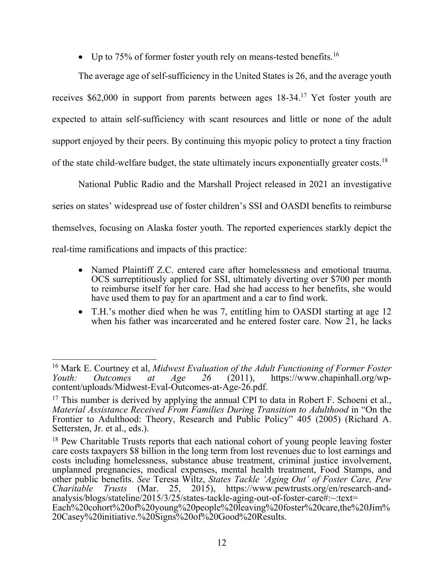• Up to 75% of former foster youth rely on means-tested benefits.<sup>16</sup>

 The average age of self-sufficiency in the United States is 26, and the average youth receives \$62,000 in support from parents between ages 18-34.17 Yet foster youth are expected to attain self-sufficiency with scant resources and little or none of the adult support enjoyed by their peers. By continuing this myopic policy to protect a tiny fraction of the state child-welfare budget, the state ultimately incurs exponentially greater costs.<sup>18</sup>

 National Public Radio and the Marshall Project released in 2021 an investigative series on states' widespread use of foster children's SSI and OASDI benefits to reimburse themselves, focusing on Alaska foster youth. The reported experiences starkly depict the real-time ramifications and impacts of this practice:

- Named Plaintiff Z.C. entered care after homelessness and emotional trauma. OCS surreptitiously applied for SSI, ultimately diverting over \$700 per month to reimburse itself for her care. Had she had access to her benefits, she would have used them to pay for an apartment and a car to find work.
- T.H.'s mother died when he was 7, entitling him to OASDI starting at age 12 when his father was incarcerated and he entered foster care. Now 21, he lacks

<sup>16</sup> Mark E. Courtney et al, *Midwest Evaluation of the Adult Functioning of Former Foster Youth: Outcomes at Age 26* (2011), https://www.chapinhall.org/wpcontent/uploads/Midwest-Eval-Outcomes-at-Age-26.pdf.

 $17$  This number is derived by applying the annual CPI to data in Robert F. Schoeni et al., *Material Assistance Received From Families During Transition to Adulthood* in "On the Frontier to Adulthood: Theory, Research and Public Policy" 405 (2005) (Richard A. Settersten, Jr. et al., eds.).

<sup>&</sup>lt;sup>18</sup> Pew Charitable Trusts reports that each national cohort of young people leaving foster care costs taxpayers \$8 billion in the long term from lost revenues due to lost earnings and costs including homelessness, substance abuse treatment, criminal justice involvement, unplanned pregnancies, medical expenses, mental health treatment, Food Stamps, and other public benefits. *See* Teresa Wiltz, *States Tackle 'Aging Out' of Foster Care, Pew Charitable Trusts* (Mar. 25, 2015), https://www.pewtrusts.org/en/research-andanalysis/blogs/stateline/2015/3/25/states-tackle-aging-out-of-foster-care#:~:text= Each%20cohort%20of%20young%20people%20leaving%20foster%20care,the%20Jim% 20Casey%20initiative.%20Signs%20of%20Good%20Results.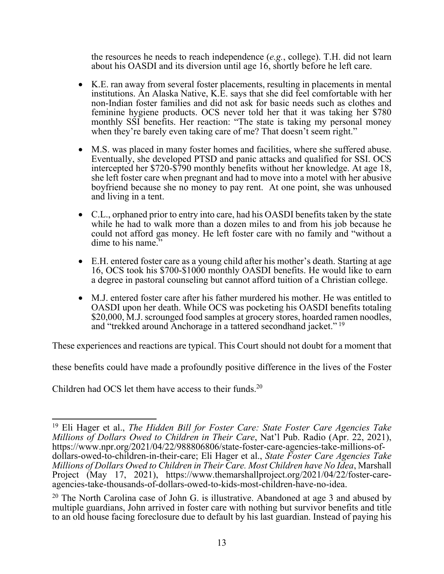the resources he needs to reach independence (*e.g.*, college). T.H. did not learn about his OASDI and its diversion until age 16, shortly before he left care.

- K.E. ran away from several foster placements, resulting in placements in mental institutions. An Alaska Native, K.E. says that she did feel comfortable with her non-Indian foster families and did not ask for basic needs such as clothes and feminine hygiene products. OCS never told her that it was taking her \$780 monthly SSI benefits. Her reaction: "The state is taking my personal money when they're barely even taking care of me? That doesn't seem right."
- M.S. was placed in many foster homes and facilities, where she suffered abuse. Eventually, she developed PTSD and panic attacks and qualified for SSI. OCS intercepted her \$720-\$790 monthly benefits without her knowledge. At age 18, she left foster care when pregnant and had to move into a motel with her abusive boyfriend because she no money to pay rent. At one point, she was unhoused and living in a tent.
- C.L., orphaned prior to entry into care, had his OASDI benefits taken by the state while he had to walk more than a dozen miles to and from his job because he could not afford gas money. He left foster care with no family and "without a dime to his name."
- E.H. entered foster care as a young child after his mother's death. Starting at age 16, OCS took his \$700-\$1000 monthly OASDI benefits. He would like to earn a degree in pastoral counseling but cannot afford tuition of a Christian college.
- M.J. entered foster care after his father murdered his mother. He was entitled to OASDI upon her death. While OCS was pocketing his OASDI benefits totaling \$20,000, M.J. scrounged food samples at grocery stores, hoarded ramen noodles, and "trekked around Anchorage in a tattered secondhand jacket." 19

These experiences and reactions are typical. This Court should not doubt for a moment that

these benefits could have made a profoundly positive difference in the lives of the Foster

Children had OCS let them have access to their funds. $20$ 

<sup>19</sup> Eli Hager et al., *The Hidden Bill for Foster Care: State Foster Care Agencies Take Millions of Dollars Owed to Children in Their Care*, Nat'l Pub. Radio (Apr. 22, 2021), https://www.npr.org/2021/04/22/988806806/state-foster-care-agencies-take-millions-ofdollars-owed-to-children-in-their-care; Eli Hager et al., *State Foster Care Agencies Take Millions of Dollars Owed to Children in Their Care. Most Children have No Idea*, Marshall Project (May 17, 2021), https://www.themarshallproject.org/2021/04/22/foster-careagencies-take-thousands-of-dollars-owed-to-kids-most-children-have-no-idea.

<sup>&</sup>lt;sup>20</sup> The North Carolina case of John G. is illustrative. Abandoned at age 3 and abused by multiple guardians, John arrived in foster care with nothing but survivor benefits and title to an old house facing foreclosure due to default by his last guardian. Instead of paying his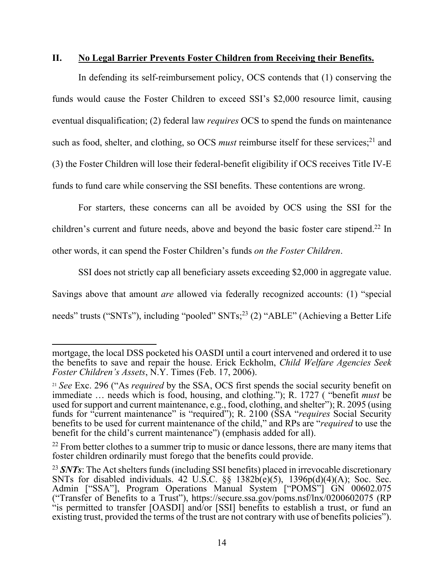#### **II. No Legal Barrier Prevents Foster Children from Receiving their Benefits.**

 In defending its self-reimbursement policy, OCS contends that (1) conserving the funds would cause the Foster Children to exceed SSI's \$2,000 resource limit, causing eventual disqualification; (2) federal law *requires* OCS to spend the funds on maintenance such as food, shelter, and clothing, so OCS *must* reimburse itself for these services;<sup>21</sup> and (3) the Foster Children will lose their federal-benefit eligibility if OCS receives Title IV-E funds to fund care while conserving the SSI benefits. These contentions are wrong.

 For starters, these concerns can all be avoided by OCS using the SSI for the children's current and future needs, above and beyond the basic foster care stipend.<sup>22</sup> In other words, it can spend the Foster Children's funds *on the Foster Children*.

SSI does not strictly cap all beneficiary assets exceeding \$2,000 in aggregate value. Savings above that amount *are* allowed via federally recognized accounts: (1) "special needs" trusts ("SNTs"), including "pooled" SNTs;<sup>23</sup> (2) "ABLE" (Achieving a Better Life

mortgage, the local DSS pocketed his OASDI until a court intervened and ordered it to use the benefits to save and repair the house. Erick Eckholm, *Child Welfare Agencies Seek Foster Children's Assets*, N.Y. Times (Feb. 17, 2006).

<sup>21</sup> *See* Exc. 296 ("As *required* by the SSA, OCS first spends the social security benefit on immediate … needs which is food, housing, and clothing."); R. 1727 ( "benefit *must* be used for support and current maintenance, e.g., food, clothing, and shelter"); R. 2095 (using funds for "current maintenance" is "required"); R. 2100 (SSA "*requires* Social Security benefits to be used for current maintenance of the child," and RPs are "*required* to use the benefit for the child's current maintenance") (emphasis added for all).

 $22$  From better clothes to a summer trip to music or dance lessons, there are many items that foster children ordinarily must forego that the benefits could provide.

<sup>&</sup>lt;sup>23</sup> **SNTs**: The Act shelters funds (including SSI benefits) placed in irrevocable discretionary SNTs for disabled individuals. 42 U.S.C.  $\S$  1382b(e)(5), 1396p(d)(4)(A); Soc. Sec. Admin ["SSA"], Program Operations Manual System ["POMS"] GN 00602.075 ("Transfer of Benefits to a Trust"), https://secure.ssa.gov/poms.nsf/lnx/0200602075 (RP "is permitted to transfer [OASDI] and/or [SSI] benefits to establish a trust, or fund an existing trust, provided the terms of the trust are not contrary with use of benefits policies").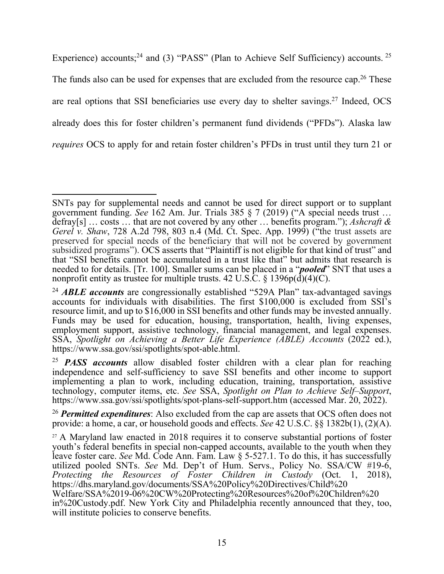Experience) accounts;<sup>24</sup> and (3) "PASS" (Plan to Achieve Self Sufficiency) accounts. <sup>25</sup> The funds also can be used for expenses that are excluded from the resource cap.<sup>26</sup> These are real options that SSI beneficiaries use every day to shelter savings.27 Indeed, OCS already does this for foster children's permanent fund dividends ("PFDs"). Alaska law *requires* OCS to apply for and retain foster children's PFDs in trust until they turn 21 or

<sup>26</sup> *Permitted expenditures*: Also excluded from the cap are assets that OCS often does not provide: a home, a car, or household goods and effects. *See* 42 U.S.C. §§ 1382b(1), (2)(A).

<sup>27</sup> A Maryland law enacted in 2018 requires it to conserve substantial portions of foster youth's federal benefits in special non-capped accounts, available to the youth when they leave foster care. *See* Md. Code Ann. Fam. Law § 5-527.1. To do this, it has successfully utilized pooled SNTs. *See* Md. Dep't of Hum. Servs., Policy No. SSA/CW #19-6, *Protecting the Resources of Foster Children in Custody* (Oct. 1, 2018), https://dhs.maryland.gov/documents/SSA%20Policy%20Directives/Child%20 Welfare/SSA%2019-06%20CW%20Protecting%20Resources%20of%20Children%20 in%20Custody.pdf. New York City and Philadelphia recently announced that they, too, will institute policies to conserve benefits.

SNTs pay for supplemental needs and cannot be used for direct support or to supplant government funding. *See* 162 Am. Jur. Trials 385 § 7 (2019) ("A special needs trust … defray[s] … costs … that are not covered by any other … benefits program."); *Ashcraft & Gerel v. Shaw*, 728 A.2d 798, 803 n.4 (Md. Ct. Spec. App. 1999) ("the trust assets are preserved for special needs of the beneficiary that will not be covered by government subsidized programs"). OCS asserts that "Plaintiff is not eligible for that kind of trust" and that "SSI benefits cannot be accumulated in a trust like that" but admits that research is needed to for details. [Tr. 100]. Smaller sums can be placed in a "*pooled*" SNT that uses a nonprofit entity as trustee for multiple trusts.  $42 \text{ U.S.C.} \S 1396p(d)(4)(C)$ .

<sup>&</sup>lt;sup>24</sup> **ABLE accounts** are congressionally established "529A Plan" tax-advantaged savings accounts for individuals with disabilities. The first \$100,000 is excluded from SSI's resource limit, and up to \$16,000 in SSI benefits and other funds may be invested annually. Funds may be used for education, housing, transportation, health, living expenses, employment support, assistive technology, financial management, and legal expenses. SSA, *Spotlight on Achieving a Better Life Experience (ABLE) Accounts* (2022 ed.), https://www.ssa.gov/ssi/spotlights/spot-able.html.

<sup>&</sup>lt;sup>25</sup> *PASS accounts* allow disabled foster children with a clear plan for reaching independence and self-sufficiency to save SSI benefits and other income to support implementing a plan to work, including education, training, transportation, assistive technology, computer items, etc. *See* SSA, *Spotlight on Plan to Achieve Self–Support*, https://www.ssa.gov/ssi/spotlights/spot-plans-self-support.htm (accessed Mar. 20, 2022).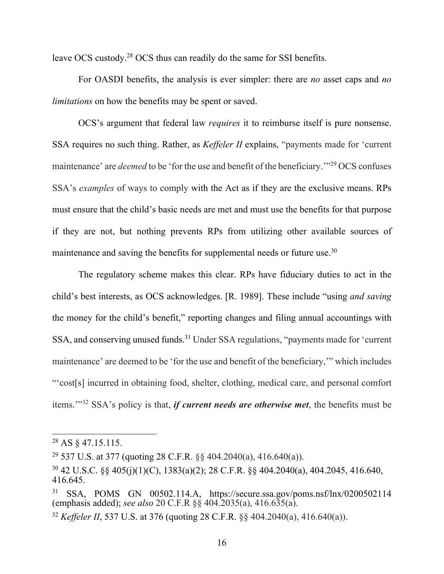leave OCS custody.28 OCS thus can readily do the same for SSI benefits.

 For OASDI benefits, the analysis is ever simpler: there are *no* asset caps and *no limitations* on how the benefits may be spent or saved.

 OCS's argument that federal law *requires* it to reimburse itself is pure nonsense. SSA requires no such thing. Rather, as *Keffeler II* explains, "payments made for 'current maintenance' are *deemed* to be 'for the use and benefit of the beneficiary.'"<sup>29</sup> OCS confuses SSA's *examples* of ways to comply with the Act as if they are the exclusive means. RPs must ensure that the child's basic needs are met and must use the benefits for that purpose if they are not, but nothing prevents RPs from utilizing other available sources of maintenance and saving the benefits for supplemental needs or future use.<sup>30</sup>

 The regulatory scheme makes this clear. RPs have fiduciary duties to act in the child's best interests, as OCS acknowledges. [R. 1989]. These include "using *and saving* the money for the child's benefit," reporting changes and filing annual accountings with SSA, and conserving unused funds.<sup>31</sup> Under SSA regulations, "payments made for 'current maintenance' are deemed to be 'for the use and benefit of the beneficiary,'" which includes "'cost[s] incurred in obtaining food, shelter, clothing, medical care, and personal comfort items.'"32 SSA's policy is that, *if current needs are otherwise met*, the benefits must be

 $28 AS \S 47.15.115.$ 

<sup>&</sup>lt;sup>29</sup> 537 U.S. at 377 (quoting 28 C.F.R. §§ 404.2040(a), 416.640(a)).

<sup>30 42</sup> U.S.C. §§ 405(j)(1)(C), 1383(a)(2); 28 C.F.R. §§ 404.2040(a), 404.2045, 416.640, 416.645.

<sup>31</sup> SSA, POMS GN 00502.114.A, https://secure.ssa.gov/poms.nsf/lnx/0200502114 (emphasis added); *see also* 20 C.F.R §§ 404.2035(a), 416.635(a).

<sup>32</sup> *Keffeler II*, 537 U.S. at 376 (quoting 28 C.F.R. §§ 404.2040(a), 416.640(a)).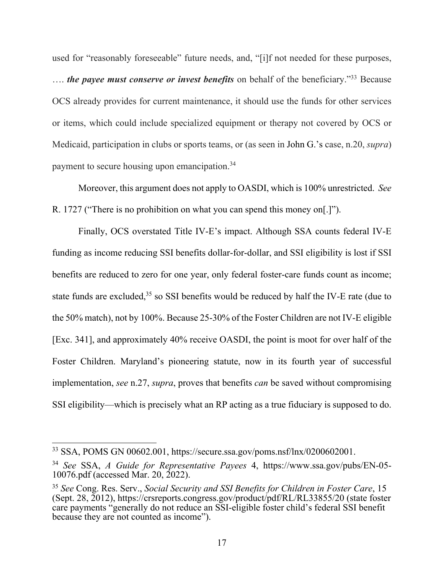used for "reasonably foreseeable" future needs, and, "[i]f not needed for these purposes, …. *the payee must conserve or invest benefits* on behalf of the beneficiary."33 Because OCS already provides for current maintenance, it should use the funds for other services or items, which could include specialized equipment or therapy not covered by OCS or Medicaid, participation in clubs or sports teams, or (as seen in John G.'s case, n.20, *supra*) payment to secure housing upon emancipation.34

Moreover, this argument does not apply to OASDI, which is 100% unrestricted. *See* R. 1727 ("There is no prohibition on what you can spend this money on[.]").

 Finally, OCS overstated Title IV-E's impact. Although SSA counts federal IV-E funding as income reducing SSI benefits dollar-for-dollar, and SSI eligibility is lost if SSI benefits are reduced to zero for one year, only federal foster-care funds count as income; state funds are excluded,<sup>35</sup> so SSI benefits would be reduced by half the IV-E rate (due to the 50% match), not by 100%. Because 25-30% of the Foster Children are not IV-E eligible [Exc. 341], and approximately 40% receive OASDI, the point is moot for over half of the Foster Children. Maryland's pioneering statute, now in its fourth year of successful implementation, *see* n.27, *supra*, proves that benefits *can* be saved without compromising SSI eligibility—which is precisely what an RP acting as a true fiduciary is supposed to do.

<sup>33</sup> SSA, POMS GN 00602.001, https://secure.ssa.gov/poms.nsf/lnx/0200602001.

<sup>34</sup> *See* SSA, *A Guide for Representative Payees* 4, https://www.ssa.gov/pubs/EN-05- 10076.pdf (accessed Mar. 20, 2022).

<sup>35</sup> *See* Cong. Res. Serv., *Social Security and SSI Benefits for Children in Foster Care*, 15 (Sept. 28, 2012), https://crsreports.congress.gov/product/pdf/RL/RL33855/20 (state foster care payments "generally do not reduce an SSI-eligible foster child's federal SSI benefit because they are not counted as income").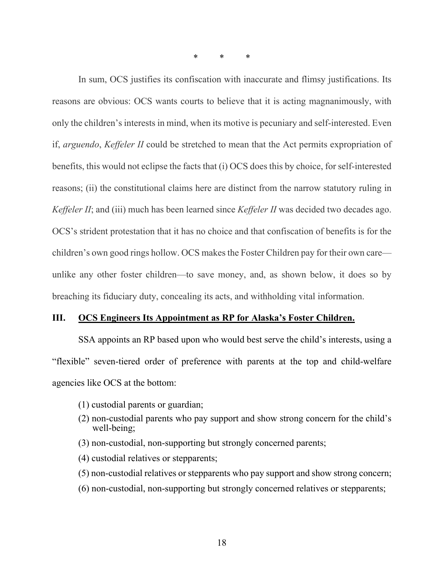\* \* \*

 In sum, OCS justifies its confiscation with inaccurate and flimsy justifications. Its reasons are obvious: OCS wants courts to believe that it is acting magnanimously, with only the children's interests in mind, when its motive is pecuniary and self-interested. Even if, *arguendo*, *Keffeler II* could be stretched to mean that the Act permits expropriation of benefits, this would not eclipse the facts that (i) OCS does this by choice, for self-interested reasons; (ii) the constitutional claims here are distinct from the narrow statutory ruling in *Keffeler II*; and (iii) much has been learned since *Keffeler II* was decided two decades ago. OCS's strident protestation that it has no choice and that confiscation of benefits is for the children's own good rings hollow. OCS makes the Foster Children pay for their own care unlike any other foster children—to save money, and, as shown below, it does so by breaching its fiduciary duty, concealing its acts, and withholding vital information.

#### **III. OCS Engineers Its Appointment as RP for Alaska's Foster Children.**

SSA appoints an RP based upon who would best serve the child's interests, using a "flexible" seven-tiered order of preference with parents at the top and child-welfare agencies like OCS at the bottom:

- (1) custodial parents or guardian;
- (2) non-custodial parents who pay support and show strong concern for the child's well-being;
- (3) non-custodial, non-supporting but strongly concerned parents;
- (4) custodial relatives or stepparents;
- (5) non-custodial relatives or stepparents who pay support and show strong concern;
- (6) non-custodial, non-supporting but strongly concerned relatives or stepparents;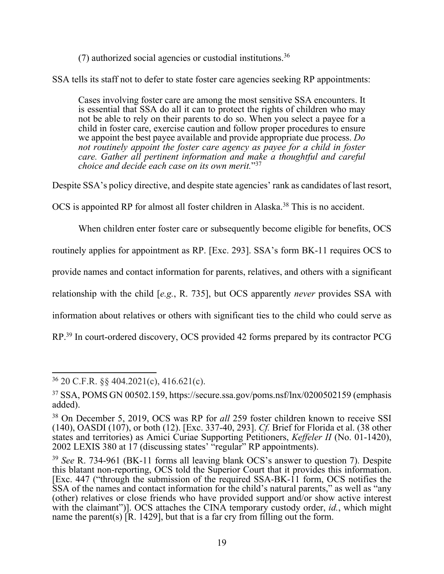(7) authorized social agencies or custodial institutions.  $36$ 

SSA tells its staff not to defer to state foster care agencies seeking RP appointments:

Cases involving foster care are among the most sensitive SSA encounters. It is essential that SSA do all it can to protect the rights of children who may not be able to rely on their parents to do so. When you select a payee for a child in foster care, exercise caution and follow proper procedures to ensure we appoint the best payee available and provide appropriate due process. *Do not routinely appoint the foster care agency as payee for a child in foster care. Gather all pertinent information and make a thoughtful and careful choice and decide each case on its own merit.*"37

Despite SSA's policy directive, and despite state agencies' rank as candidates of last resort,

OCS is appointed RP for almost all foster children in Alaska.<sup>38</sup> This is no accident.

When children enter foster care or subsequently become eligible for benefits, OCS

routinely applies for appointment as RP. [Exc. 293]. SSA's form BK-11 requires OCS to

provide names and contact information for parents, relatives, and others with a significant

relationship with the child [*e.g.*, R. 735], but OCS apparently *never* provides SSA with

information about relatives or others with significant ties to the child who could serve as

RP.39 In court-ordered discovery, OCS provided 42 forms prepared by its contractor PCG

<sup>36</sup> 20 C.F.R. §§ 404.2021(c), 416.621(c).

<sup>37</sup> SSA, POMS GN 00502.159, https://secure.ssa.gov/poms.nsf/lnx/0200502159 (emphasis added).

<sup>38</sup> On December 5, 2019, OCS was RP for *all* 259 foster children known to receive SSI (140), OASDI (107), or both (12). [Exc. 337-40, 293]. *Cf.* Brief for Florida et al. (38 other states and territories) as Amici Curiae Supporting Petitioners, *Keffeler II* (No. 01-1420), 2002 LEXIS 380 at 17 (discussing states' "regular" RP appointments).

<sup>39</sup> *See* R. 734-961 (BK-11 forms all leaving blank OCS's answer to question 7). Despite this blatant non-reporting, OCS told the Superior Court that it provides this information. [Exc. 447 ("through the submission of the required SSA-BK-11 form, OCS notifies the SSA of the names and contact information for the child's natural parents," as well as "any (other) relatives or close friends who have provided support and/or show active interest with the claimant")]. OCS attaches the CINA temporary custody order, *id.*, which might name the parent(s) [R. 1429], but that is a far cry from filling out the form.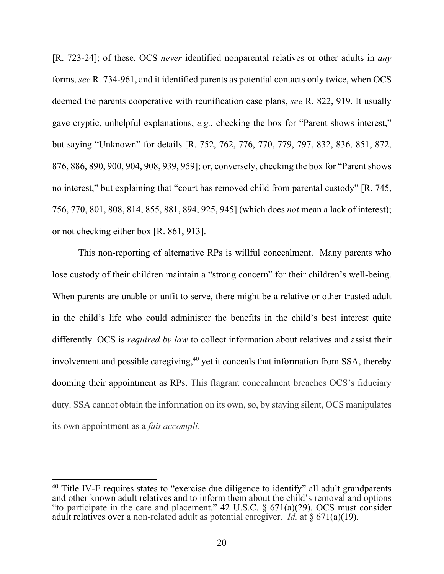[R. 723-24]; of these, OCS *never* identified nonparental relatives or other adults in *any* forms, *see* R. 734-961, and it identified parents as potential contacts only twice, when OCS deemed the parents cooperative with reunification case plans, *see* R. 822, 919. It usually gave cryptic, unhelpful explanations, *e.g.*, checking the box for "Parent shows interest," but saying "Unknown" for details [R. 752, 762, 776, 770, 779, 797, 832, 836, 851, 872, 876, 886, 890, 900, 904, 908, 939, 959]; or, conversely, checking the box for "Parent shows no interest," but explaining that "court has removed child from parental custody" [R. 745, 756, 770, 801, 808, 814, 855, 881, 894, 925, 945] (which does *not* mean a lack of interest); or not checking either box [R. 861, 913].

 This non-reporting of alternative RPs is willful concealment. Many parents who lose custody of their children maintain a "strong concern" for their children's well-being. When parents are unable or unfit to serve, there might be a relative or other trusted adult in the child's life who could administer the benefits in the child's best interest quite differently. OCS is *required by law* to collect information about relatives and assist their involvement and possible caregiving, $40$  yet it conceals that information from SSA, thereby dooming their appointment as RPs. This flagrant concealment breaches OCS's fiduciary duty. SSA cannot obtain the information on its own, so, by staying silent, OCS manipulates its own appointment as a *fait accompli*.

<sup>&</sup>lt;sup>40</sup> Title IV-E requires states to "exercise due diligence to identify" all adult grandparents and other known adult relatives and to inform them about the child's removal and options "to participate in the care and placement." 42 U.S.C.  $\S$  671(a)(29). OCS must consider adult relatives over a non-related adult as potential caregiver. *Id.* at § 671(a)(19).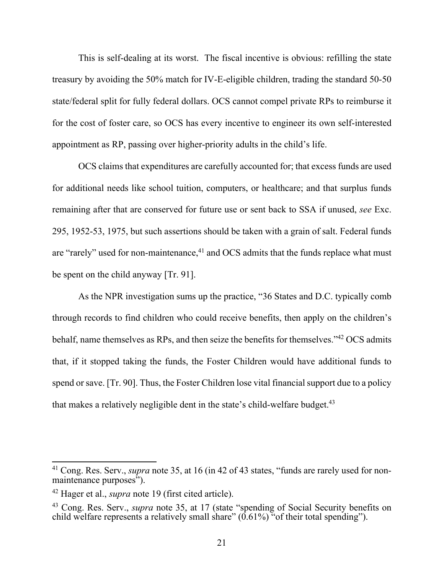This is self-dealing at its worst. The fiscal incentive is obvious: refilling the state treasury by avoiding the 50% match for IV-E-eligible children, trading the standard 50-50 state/federal split for fully federal dollars. OCS cannot compel private RPs to reimburse it for the cost of foster care, so OCS has every incentive to engineer its own self-interested appointment as RP, passing over higher-priority adults in the child's life.

 OCS claims that expenditures are carefully accounted for; that excess funds are used for additional needs like school tuition, computers, or healthcare; and that surplus funds remaining after that are conserved for future use or sent back to SSA if unused, *see* Exc. 295, 1952-53, 1975, but such assertions should be taken with a grain of salt. Federal funds are "rarely" used for non-maintenance,<sup>41</sup> and OCS admits that the funds replace what must be spent on the child anyway [Tr. 91].

As the NPR investigation sums up the practice, "36 States and D.C. typically comb through records to find children who could receive benefits, then apply on the children's behalf, name themselves as RPs, and then seize the benefits for themselves."42 OCS admits that, if it stopped taking the funds, the Foster Children would have additional funds to spend or save. [Tr. 90]. Thus, the Foster Children lose vital financial support due to a policy that makes a relatively negligible dent in the state's child-welfare budget.<sup>43</sup>

<sup>41</sup> Cong. Res. Serv., *supra* note 35, at 16 (in 42 of 43 states, "funds are rarely used for nonmaintenance purposes").

<sup>42</sup> Hager et al., *supra* note 19 (first cited article).

<sup>43</sup> Cong. Res. Serv., *supra* note 35, at 17 (state "spending of Social Security benefits on child welfare represents a relatively small share"  $(0.61\%)$  "of their total spending").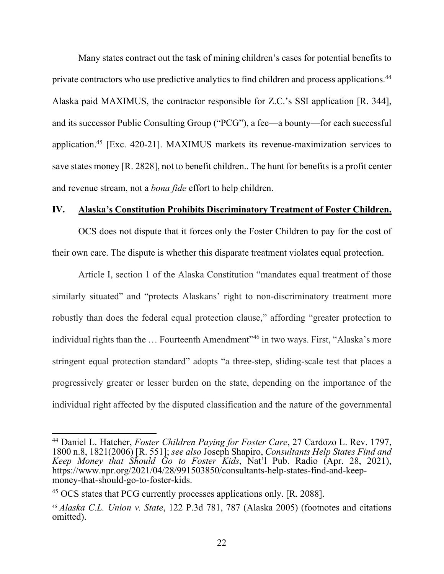Many states contract out the task of mining children's cases for potential benefits to private contractors who use predictive analytics to find children and process applications.<sup>44</sup> Alaska paid MAXIMUS, the contractor responsible for Z.C.'s SSI application [R. 344], and its successor Public Consulting Group ("PCG"), a fee—a bounty—for each successful application.45 [Exc. 420-21]. MAXIMUS markets its revenue-maximization services to save states money [R. 2828], not to benefit children.. The hunt for benefits is a profit center and revenue stream, not a *bona fide* effort to help children.

#### **IV. Alaska's Constitution Prohibits Discriminatory Treatment of Foster Children.**

 OCS does not dispute that it forces only the Foster Children to pay for the cost of their own care. The dispute is whether this disparate treatment violates equal protection.

Article I, section 1 of the Alaska Constitution "mandates equal treatment of those similarly situated" and "protects Alaskans' right to non-discriminatory treatment more robustly than does the federal equal protection clause," affording "greater protection to individual rights than the ... Fourteenth Amendment"<sup>46</sup> in two ways. First, "Alaska's more stringent equal protection standard" adopts "a three-step, sliding-scale test that places a progressively greater or lesser burden on the state, depending on the importance of the individual right affected by the disputed classification and the nature of the governmental

<sup>44</sup> Daniel L. Hatcher, *Foster Children Paying for Foster Care*, 27 Cardozo L. Rev. 1797, 1800 n.8, 1821(2006) [R. 551]; *see also* Joseph Shapiro, *Consultants Help States Find and Keep Money that Should Go to Foster Kids*, Nat'l Pub. Radio (Apr. 28, 2021), https://www.npr.org/2021/04/28/991503850/consultants-help-states-find-and-keepmoney-that-should-go-to-foster-kids.

<sup>&</sup>lt;sup>45</sup> OCS states that PCG currently processes applications only. [R. 2088].

<sup>46</sup> *Alaska C.L. Union v. State*, 122 P.3d 781, 787 (Alaska 2005) (footnotes and citations omitted).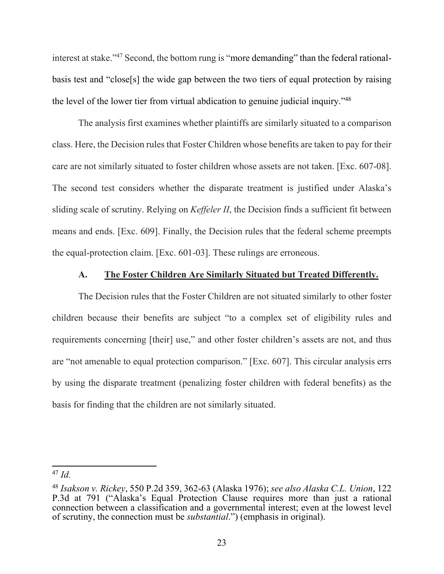interest at stake."47 Second, the bottom rung is "more demanding" than the federal rationalbasis test and "close[s] the wide gap between the two tiers of equal protection by raising the level of the lower tier from virtual abdication to genuine judicial inquiry."48

 The analysis first examines whether plaintiffs are similarly situated to a comparison class. Here, the Decision rules that Foster Children whose benefits are taken to pay for their care are not similarly situated to foster children whose assets are not taken. [Exc. 607-08]. The second test considers whether the disparate treatment is justified under Alaska's sliding scale of scrutiny. Relying on *Keffeler II*, the Decision finds a sufficient fit between means and ends. [Exc. 609]. Finally, the Decision rules that the federal scheme preempts the equal-protection claim. [Exc. 601-03]. These rulings are erroneous.

#### **A. The Foster Children Are Similarly Situated but Treated Differently.**

 The Decision rules that the Foster Children are not situated similarly to other foster children because their benefits are subject "to a complex set of eligibility rules and requirements concerning [their] use," and other foster children's assets are not, and thus are "not amenable to equal protection comparison." [Exc. 607]. This circular analysis errs by using the disparate treatment (penalizing foster children with federal benefits) as the basis for finding that the children are not similarly situated.

<sup>47</sup> *Id.*

<sup>48</sup> *Isakson v. Rickey*, 550 P.2d 359, 362-63 (Alaska 1976); *see also Alaska C.L. Union*, 122 P.3d at 791 ("Alaska's Equal Protection Clause requires more than just a rational connection between a classification and a governmental interest; even at the lowest level of scrutiny, the connection must be *substantial*.") (emphasis in original).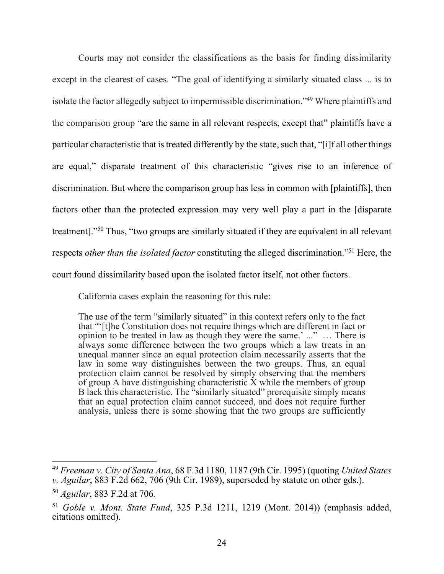Courts may not consider the classifications as the basis for finding dissimilarity except in the clearest of cases. "The goal of identifying a similarly situated class ... is to isolate the factor allegedly subject to impermissible discrimination."49 Where plaintiffs and the comparison group "are the same in all relevant respects, except that" plaintiffs have a particular characteristic that is treated differently by the state, such that, "[i]f all other things are equal," disparate treatment of this characteristic "gives rise to an inference of discrimination. But where the comparison group has less in common with [plaintiffs], then factors other than the protected expression may very well play a part in the [disparate treatment]."50 Thus, "two groups are similarly situated if they are equivalent in all relevant respects *other than the isolated factor* constituting the alleged discrimination."51 Here, the court found dissimilarity based upon the isolated factor itself, not other factors.

California cases explain the reasoning for this rule:

The use of the term "similarly situated" in this context refers only to the fact that "'[t]he Constitution does not require things which are different in fact or opinion to be treated in law as though they were the same.' ..." … There is always some difference between the two groups which a law treats in an unequal manner since an equal protection claim necessarily asserts that the law in some way distinguishes between the two groups. Thus, an equal protection claim cannot be resolved by simply observing that the members of group A have distinguishing characteristic  $\tilde{X}$  while the members of group B lack this characteristic. The "similarly situated" prerequisite simply means that an equal protection claim cannot succeed, and does not require further analysis, unless there is some showing that the two groups are sufficiently

<sup>49</sup> *Freeman v. City of Santa Ana*, 68 F.3d 1180, 1187 (9th Cir. 1995) (quoting *United States v. Aguilar*, 883 F.2d 662, 706 (9th Cir. 1989), superseded by statute on other gds.).

<sup>50</sup> *Aguilar*, 883 F.2d at 706*.*

<sup>51</sup> *Goble v. Mont. State Fund*, 325 P.3d 1211, 1219 (Mont. 2014)) (emphasis added, citations omitted).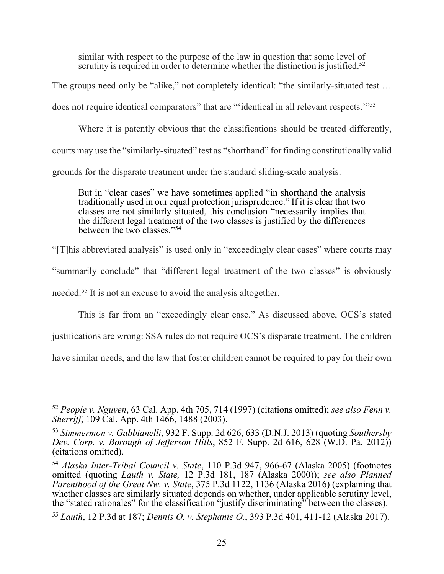similar with respect to the purpose of the law in question that some level of scrutiny is required in order to determine whether the distinction is justified.<sup>52</sup>

The groups need only be "alike," not completely identical: "the similarly-situated test ...

does not require identical comparators" that are "'identical in all relevant respects."<sup>53</sup>

Where it is patently obvious that the classifications should be treated differently,

courts may use the "similarly-situated" test as "shorthand" for finding constitutionally valid

grounds for the disparate treatment under the standard sliding-scale analysis:

But in "clear cases" we have sometimes applied "in shorthand the analysis traditionally used in our equal protection jurisprudence." If it is clear that two classes are not similarly situated, this conclusion "necessarily implies that the different legal treatment of the two classes is justified by the differences between the two classes."54

"[T]his abbreviated analysis" is used only in "exceedingly clear cases" where courts may

"summarily conclude" that "different legal treatment of the two classes" is obviously

needed.55 It is not an excuse to avoid the analysis altogether.

This is far from an "exceedingly clear case." As discussed above, OCS's stated

justifications are wrong: SSA rules do not require OCS's disparate treatment. The children

have similar needs, and the law that foster children cannot be required to pay for their own

<sup>52</sup> *People v. Nguyen*, 63 Cal. App. 4th 705, 714 (1997) (citations omitted); *see also Fenn v. Sherriff*, 109 Cal. App. 4th 1466, 1488 (2003).

<sup>53</sup> *Simmermon v. Gabbianelli*, 932 F. Supp. 2d 626, 633 (D.N.J. 2013) (quoting *Southersby Dev. Corp. v. Borough of Jefferson Hills*, 852 F. Supp. 2d 616, 628 (W.D. Pa. 2012)) (citations omitted).

<sup>54</sup> *Alaska Inter-Tribal Council v. State*, 110 P.3d 947, 966-67 (Alaska 2005) (footnotes omitted (quoting *Lauth v. State,* 12 P.3d 181, 187 (Alaska 2000)); *see also Planned Parenthood of the Great Nw. v. State, 375 P.3d 1122, 1136 (Alaska 2016)* (explaining that whether classes are similarly situated depends on whether, under applicable scrutiny level, the "stated rationales" for the classification "justify discriminating" between the classes).

<sup>55</sup> *Lauth*, 12 P.3d at 187; *Dennis O. v. Stephanie O.*, 393 P.3d 401, 411-12 (Alaska 2017).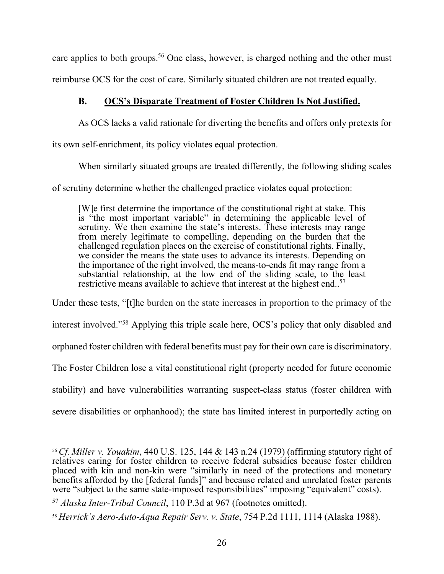care applies to both groups.<sup>56</sup> One class, however, is charged nothing and the other must reimburse OCS for the cost of care. Similarly situated children are not treated equally.

## **B. OCS's Disparate Treatment of Foster Children Is Not Justified.**

As OCS lacks a valid rationale for diverting the benefits and offers only pretexts for

its own self-enrichment, its policy violates equal protection.

When similarly situated groups are treated differently, the following sliding scales

of scrutiny determine whether the challenged practice violates equal protection:

[W]e first determine the importance of the constitutional right at stake. This is "the most important variable" in determining the applicable level of scrutiny. We then examine the state's interests. These interests may range from merely legitimate to compelling, depending on the burden that the challenged regulation places on the exercise of constitutional rights. Finally, we consider the means the state uses to advance its interests. Depending on the importance of the right involved, the means-to-ends fit may range from a substantial relationship, at the low end of the sliding scale, to the least restrictive means available to achieve that interest at the highest end..<sup>57</sup>

Under these tests, "[t]he burden on the state increases in proportion to the primacy of the interest involved."58 Applying this triple scale here, OCS's policy that only disabled and orphaned foster children with federal benefits must pay for their own care is discriminatory. The Foster Children lose a vital constitutional right (property needed for future economic stability) and have vulnerabilities warranting suspect-class status (foster children with severe disabilities or orphanhood); the state has limited interest in purportedly acting on

<sup>56</sup> *Cf. Miller v. Youakim*, 440 U.S. 125, 144 & 143 n.24 (1979) (affirming statutory right of relatives caring for foster children to receive federal subsidies because foster children placed with kin and non-kin were "similarly in need of the protections and monetary benefits afforded by the [federal funds]" and because related and unrelated foster parents were "subject to the same state-imposed responsibilities" imposing "equivalent" costs).

<sup>57</sup> *Alaska Inter-Tribal Council*, 110 P.3d at 967 (footnotes omitted).

<sup>58</sup> *Herrick's Aero-Auto-Aqua Repair Serv. v. State*, 754 P.2d 1111, 1114 (Alaska 1988).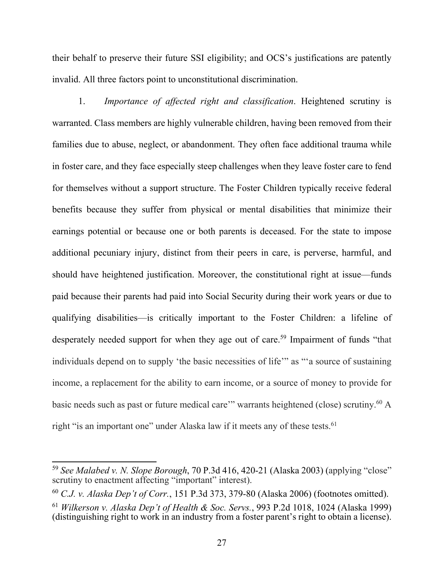their behalf to preserve their future SSI eligibility; and OCS's justifications are patently invalid. All three factors point to unconstitutional discrimination.

 1. *Importance of affected right and classification*. Heightened scrutiny is warranted. Class members are highly vulnerable children, having been removed from their families due to abuse, neglect, or abandonment. They often face additional trauma while in foster care, and they face especially steep challenges when they leave foster care to fend for themselves without a support structure. The Foster Children typically receive federal benefits because they suffer from physical or mental disabilities that minimize their earnings potential or because one or both parents is deceased. For the state to impose additional pecuniary injury, distinct from their peers in care, is perverse, harmful, and should have heightened justification. Moreover, the constitutional right at issue—funds paid because their parents had paid into Social Security during their work years or due to qualifying disabilities—is critically important to the Foster Children: a lifeline of desperately needed support for when they age out of care.<sup>59</sup> Impairment of funds "that individuals depend on to supply 'the basic necessities of life'" as "'a source of sustaining income, a replacement for the ability to earn income, or a source of money to provide for basic needs such as past or future medical care" warrants heightened (close) scrutiny.<sup>60</sup> A right "is an important one" under Alaska law if it meets any of these tests.<sup>61</sup>

<sup>59</sup> *See Malabed v. N. Slope Borough*, 70 P.3d 416, 420-21 (Alaska 2003) (applying "close" scrutiny to enactment affecting "important" interest).

<sup>60</sup> *C.J. v. Alaska Dep't of Corr.*, 151 P.3d 373, 379-80 (Alaska 2006) (footnotes omitted).

<sup>61</sup> *Wilkerson v. Alaska Dep't of Health & Soc. Servs.*, 993 P.2d 1018, 1024 (Alaska 1999) (distinguishing right to work in an industry from a foster parent's right to obtain a license).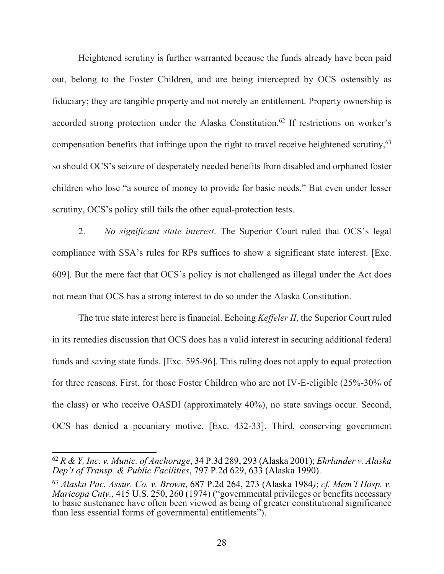Heightened scrutiny is further warranted because the funds already have been paid out, belong to the Foster Children, and are being intercepted by OCS ostensibly as fiduciary; they are tangible property and not merely an entitlement. Property ownership is accorded strong protection under the Alaska Constitution.<sup>62</sup> If restrictions on worker's compensation benefits that infringe upon the right to travel receive heightened scrutiny,<sup>63</sup> so should OCS's seizure of desperately needed benefits from disabled and orphaned foster children who lose "a source of money to provide for basic needs." But even under lesser scrutiny, OCS's policy still fails the other equal-protection tests.

 2. *No significant state interest*. The Superior Court ruled that OCS's legal compliance with SSA's rules for RPs suffices to show a significant state interest. [Exc. 609]. But the mere fact that OCS's policy is not challenged as illegal under the Act does not mean that OCS has a strong interest to do so under the Alaska Constitution.

 The true state interest here is financial. Echoing *Keffeler II*, the Superior Court ruled in its remedies discussion that OCS does has a valid interest in securing additional federal funds and saving state funds. [Exc. 595-96]. This ruling does not apply to equal protection for three reasons. First, for those Foster Children who are not IV-E-eligible (25%-30% of the class) or who receive OASDI (approximately 40%), no state savings occur. Second, OCS has denied a pecuniary motive. [Exc. 432-33]. Third, conserving government

<sup>62</sup> *R & Y, Inc. v. Munic. of Anchorage*, 34 P.3d 289, 293 (Alaska 2001); *Ehrlander v. Alaska Dep't of Transp. & Public Facilities*, 797 P.2d 629, 633 (Alaska 1990).

<sup>63</sup> *Alaska Pac. Assur. Co. v. Brown*, 687 P.2d 264, 273 (Alaska 1984*)*; *cf. Mem'l Hosp. v. Maricopa Cnty.*, 415 U.S. 250, 260 (1974) ("governmental privileges or benefits necessary to basic sustenance have often been viewed as being of greater constitutional significance than less essential forms of governmental entitlements").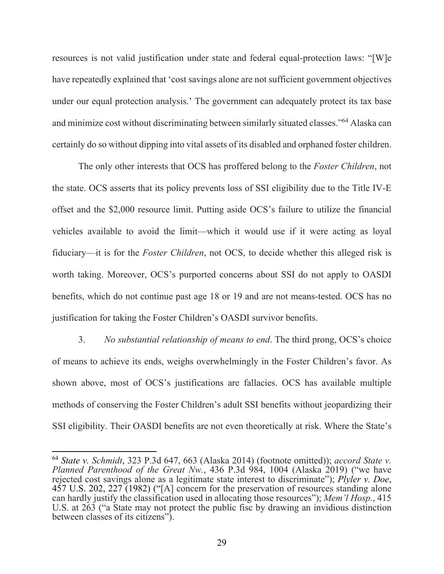resources is not valid justification under state and federal equal-protection laws: "[W]e have repeatedly explained that 'cost savings alone are not sufficient government objectives under our equal protection analysis.' The government can adequately protect its tax base and minimize cost without discriminating between similarly situated classes."64 Alaska can certainly do so without dipping into vital assets of its disabled and orphaned foster children.

 The only other interests that OCS has proffered belong to the *Foster Children*, not the state. OCS asserts that its policy prevents loss of SSI eligibility due to the Title IV-E offset and the \$2,000 resource limit. Putting aside OCS's failure to utilize the financial vehicles available to avoid the limit—which it would use if it were acting as loyal fiduciary—it is for the *Foster Children*, not OCS, to decide whether this alleged risk is worth taking. Moreover, OCS's purported concerns about SSI do not apply to OASDI benefits, which do not continue past age 18 or 19 and are not means-tested. OCS has no justification for taking the Foster Children's OASDI survivor benefits.

 3. *No substantial relationship of means to end*. The third prong, OCS's choice of means to achieve its ends, weighs overwhelmingly in the Foster Children's favor. As shown above, most of OCS's justifications are fallacies. OCS has available multiple methods of conserving the Foster Children's adult SSI benefits without jeopardizing their SSI eligibility. Their OASDI benefits are not even theoretically at risk. Where the State's

<sup>64</sup> *State v. Schmidt*, 323 P.3d 647, 663 (Alaska 2014) (footnote omitted)); *accord State v. Planned Parenthood of the Great Nw.*, 436 P.3d 984, 1004 (Alaska 2019) ("we have rejected cost savings alone as a legitimate state interest to discriminate"); *Plyler v. Doe*, 457 U.S. 202, 227 (1982) ("[A] concern for the preservation of resources standing alone can hardly justify the classification used in allocating those resources"); *Mem'l Hosp.*, 415 U.S. at 263 ("a State may not protect the public fisc by drawing an invidious distinction between classes of its citizens").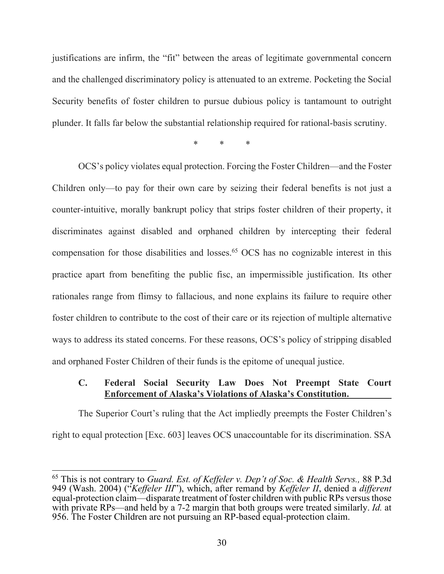justifications are infirm, the "fit" between the areas of legitimate governmental concern and the challenged discriminatory policy is attenuated to an extreme. Pocketing the Social Security benefits of foster children to pursue dubious policy is tantamount to outright plunder. It falls far below the substantial relationship required for rational-basis scrutiny.

\* \* \*

 OCS's policy violates equal protection. Forcing the Foster Children—and the Foster Children only—to pay for their own care by seizing their federal benefits is not just a counter-intuitive, morally bankrupt policy that strips foster children of their property, it discriminates against disabled and orphaned children by intercepting their federal compensation for those disabilities and losses.<sup>65</sup> OCS has no cognizable interest in this practice apart from benefiting the public fisc, an impermissible justification. Its other rationales range from flimsy to fallacious, and none explains its failure to require other foster children to contribute to the cost of their care or its rejection of multiple alternative ways to address its stated concerns. For these reasons, OCS's policy of stripping disabled and orphaned Foster Children of their funds is the epitome of unequal justice.

### **C. Federal Social Security Law Does Not Preempt State Court Enforcement of Alaska's Violations of Alaska's Constitution.**

 The Superior Court's ruling that the Act impliedly preempts the Foster Children's right to equal protection [Exc. 603] leaves OCS unaccountable for its discrimination. SSA

<sup>65</sup> This is not contrary to *Guard. Est. of Keffeler v. Dep't of Soc. & Health Servs.,* 88 P.3d 949 (Wash. 2004) ("*Keffeler III*"), which, after remand by *Keffeler II*, denied a *different* equal-protection claim—disparate treatment of foster children with public RPs versus those with private RPs—and held by a 7-2 margin that both groups were treated similarly. *Id.* at 956. The Foster Children are not pursuing an RP-based equal-protection claim.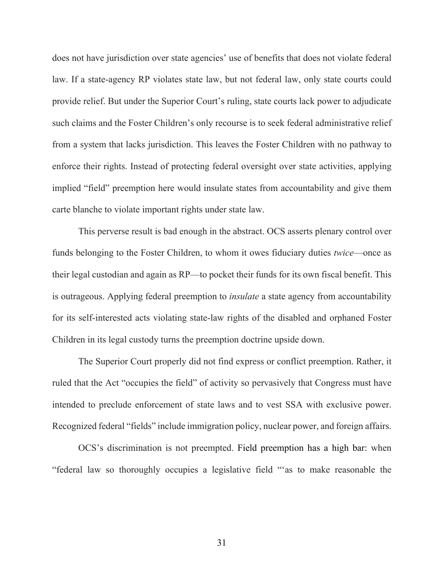does not have jurisdiction over state agencies' use of benefits that does not violate federal law. If a state-agency RP violates state law, but not federal law, only state courts could provide relief. But under the Superior Court's ruling, state courts lack power to adjudicate such claims and the Foster Children's only recourse is to seek federal administrative relief from a system that lacks jurisdiction. This leaves the Foster Children with no pathway to enforce their rights. Instead of protecting federal oversight over state activities, applying implied "field" preemption here would insulate states from accountability and give them carte blanche to violate important rights under state law.

 This perverse result is bad enough in the abstract. OCS asserts plenary control over funds belonging to the Foster Children, to whom it owes fiduciary duties *twice*—once as their legal custodian and again as RP—to pocket their funds for its own fiscal benefit. This is outrageous. Applying federal preemption to *insulate* a state agency from accountability for its self-interested acts violating state-law rights of the disabled and orphaned Foster Children in its legal custody turns the preemption doctrine upside down.

 The Superior Court properly did not find express or conflict preemption. Rather, it ruled that the Act "occupies the field" of activity so pervasively that Congress must have intended to preclude enforcement of state laws and to vest SSA with exclusive power. Recognized federal "fields" include immigration policy, nuclear power, and foreign affairs.

 OCS's discrimination is not preempted. Field preemption has a high bar: when "federal law so thoroughly occupies a legislative field "'as to make reasonable the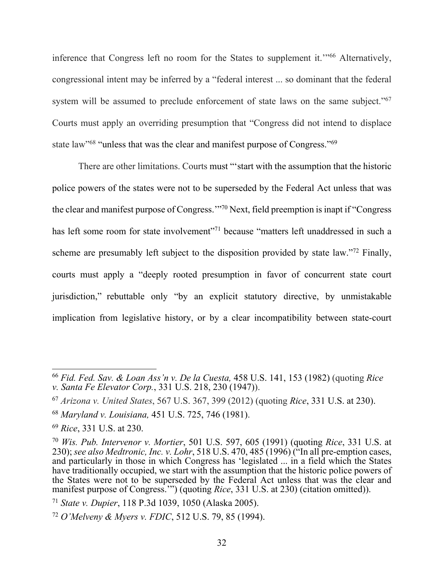inference that Congress left no room for the States to supplement it.'"66 Alternatively, congressional intent may be inferred by a "federal interest ... so dominant that the federal system will be assumed to preclude enforcement of state laws on the same subject."<sup>67</sup> Courts must apply an overriding presumption that "Congress did not intend to displace state law<sup>"68</sup> "unless that was the clear and manifest purpose of Congress."<sup>69</sup>

 There are other limitations. Courts must "'start with the assumption that the historic police powers of the states were not to be superseded by the Federal Act unless that was the clear and manifest purpose of Congress.'"70 Next, field preemption is inapt if "Congress has left some room for state involvement"71 because "matters left unaddressed in such a scheme are presumably left subject to the disposition provided by state law."72 Finally, courts must apply a "deeply rooted presumption in favor of concurrent state court jurisdiction," rebuttable only "by an explicit statutory directive, by unmistakable implication from legislative history, or by a clear incompatibility between state-court

<sup>66</sup> *Fid. Fed. Sav. & Loan Ass'n v. De la Cuesta,* 458 U.S. 141, 153 (1982) (quoting *Rice v. Santa Fe Elevator Corp.*, 331 U.S. 218, 230 (1947)).

<sup>67</sup> *Arizona v. United States*, 567 U.S. 367, 399 (2012) (quoting *Rice*, 331 U.S. at 230).

<sup>68</sup> *Maryland v. Louisiana,* 451 U.S. 725, 746 (1981).

<sup>69</sup> *Rice*, 331 U.S. at 230.

<sup>70</sup> *Wis. Pub. Intervenor v. Mortier*, 501 U.S. 597, 605 (1991) (quoting *Rice*, 331 U.S. at 230); *see also Medtronic, Inc. v. Lohr*, 518 U.S. 470, 485 (1996) ("In all pre-emption cases, and particularly in those in which Congress has 'legislated ... in a field which the States' have traditionally occupied, we start with the assumption that the historic police powers of the States were not to be superseded by the Federal Act unless that was the clear and manifest purpose of Congress.'") (quoting *Rice*, 331 U.S. at 230) (citation omitted)).

<sup>71</sup> *State v. Dupier*, 118 P.3d 1039, 1050 (Alaska 2005).

<sup>72</sup> *O'Melveny & Myers v. FDIC*, 512 U.S. 79, 85 (1994).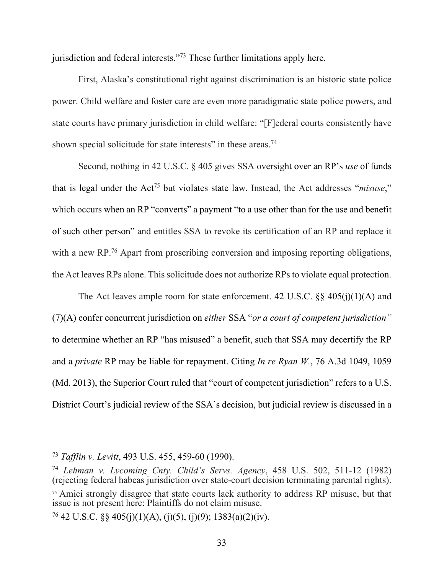jurisdiction and federal interests."<sup>73</sup> These further limitations apply here.

 First, Alaska's constitutional right against discrimination is an historic state police power. Child welfare and foster care are even more paradigmatic state police powers, and state courts have primary jurisdiction in child welfare: "[F]ederal courts consistently have shown special solicitude for state interests" in these areas.<sup>74</sup>

 Second, nothing in 42 U.S.C. § 405 gives SSA oversight over an RP's *use* of funds that is legal under the Act75 but violates state law. Instead, the Act addresses "*misuse*," which occurs when an RP "converts" a payment "to a use other than for the use and benefit of such other person" and entitles SSA to revoke its certification of an RP and replace it with a new RP.<sup>76</sup> Apart from proscribing conversion and imposing reporting obligations, the Act leaves RPs alone. This solicitude does not authorize RPs to violate equal protection.

The Act leaves ample room for state enforcement. 42 U.S.C.  $\S$ § 405(j)(1)(A) and (7)(A) confer concurrent jurisdiction on *either* SSA "*or a court of competent jurisdiction"*  to determine whether an RP "has misused" a benefit, such that SSA may decertify the RP and a *private* RP may be liable for repayment. Citing *In re Ryan W.*, 76 A.3d 1049, 1059 (Md. 2013), the Superior Court ruled that "court of competent jurisdiction" refers to a U.S. District Court's judicial review of the SSA's decision, but judicial review is discussed in a

<sup>73</sup> *Tafflin v. Levitt*, 493 U.S. 455, 459-60 (1990).

<sup>74</sup> *Lehman v. Lycoming Cnty. Child's Servs. Agency*, 458 U.S. 502, 511-12 (1982) (rejecting federal habeas jurisdiction over state-court decision terminating parental rights).

<sup>&</sup>lt;sup>75</sup> Amici strongly disagree that state courts lack authority to address RP misuse, but that issue is not present here: Plaintiffs do not claim misuse.

<sup>&</sup>lt;sup>76</sup> 42 U.S.C. §§ 405(j)(1)(A), (j)(5), (j)(9); 1383(a)(2)(iv).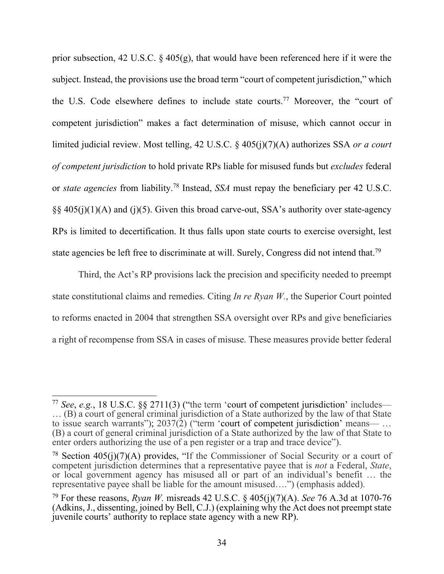prior subsection, 42 U.S.C.  $\S$  405(g), that would have been referenced here if it were the subject. Instead, the provisions use the broad term "court of competent jurisdiction," which the U.S. Code elsewhere defines to include state courts.77 Moreover, the "court of competent jurisdiction" makes a fact determination of misuse, which cannot occur in limited judicial review. Most telling, 42 U.S.C. § 405(j)(7)(A) authorizes SSA *or a court of competent jurisdiction* to hold private RPs liable for misused funds but *excludes* federal or *state agencies* from liability.78 Instead, *SSA* must repay the beneficiary per 42 U.S.C.  $\S$ § 405(j)(1)(A) and (j)(5). Given this broad carve-out, SSA's authority over state-agency RPs is limited to decertification. It thus falls upon state courts to exercise oversight, lest state agencies be left free to discriminate at will. Surely, Congress did not intend that.<sup>79</sup>

 Third, the Act's RP provisions lack the precision and specificity needed to preempt state constitutional claims and remedies. Citing *In re Ryan W.*, the Superior Court pointed to reforms enacted in 2004 that strengthen SSA oversight over RPs and give beneficiaries a right of recompense from SSA in cases of misuse. These measures provide better federal

<sup>77</sup> *See*, *e.g.*, 18 U.S.C. §§ 2711(3) ("the term 'court of competent jurisdiction' includes— … (B) a court of general criminal jurisdiction of a State authorized by the law of that State to issue search warrants"); 2037(2) ("term 'court of competent jurisdiction' means— … (B) a court of general criminal jurisdiction of a State authorized by the law of that State to enter orders authorizing the use of a pen register or a trap and trace device").

<sup>&</sup>lt;sup>78</sup> Section  $405(j)(7)(A)$  provides, "If the Commissioner of Social Security or a court of competent jurisdiction determines that a representative payee that is *not* a Federal, *State*, or local government agency has misused all or part of an individual's benefit … the representative payee shall be liable for the amount misused….") (emphasis added).

<sup>79</sup> For these reasons, *Ryan W.* misreads 42 U.S.C. § 405(j)(7)(A). *See* 76 A.3d at 1070-76 (Adkins, J., dissenting, joined by Bell, C.J.) (explaining why the Act does not preempt state juvenile courts' authority to replace state agency with a new RP).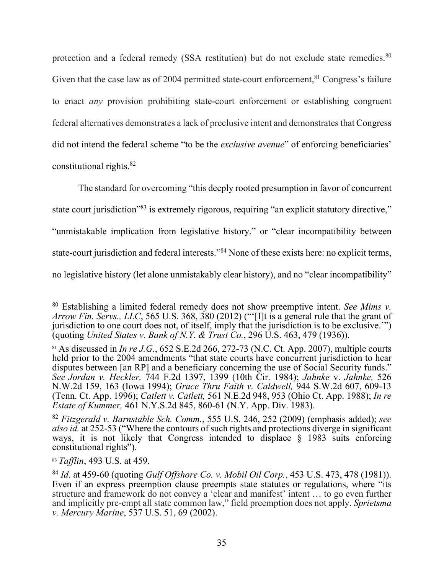protection and a federal remedy (SSA restitution) but do not exclude state remedies.<sup>80</sup> Given that the case law as of 2004 permitted state-court enforcement, $81$  Congress's failure to enact *any* provision prohibiting state-court enforcement or establishing congruent federal alternatives demonstrates a lack of preclusive intent and demonstrates that Congress did not intend the federal scheme "to be the *exclusive avenue*" of enforcing beneficiaries' constitutional rights.82

 The standard for overcoming "this deeply rooted presumption in favor of concurrent state court jurisdiction<sup>383</sup> is extremely rigorous, requiring "an explicit statutory directive," "unmistakable implication from legislative history," or "clear incompatibility between state-court jurisdiction and federal interests."84 None of these exists here: no explicit terms, no legislative history (let alone unmistakably clear history), and no "clear incompatibility"

<sup>83</sup> *Tafflin*, 493 U.S. at 459.

<sup>80</sup> Establishing a limited federal remedy does not show preemptive intent. *See Mims v. Arrow Fin. Servs., LLC*, 565 U.S. 368, 380 (2012) ("'[I]t is a general rule that the grant of jurisdiction to one court does not, of itself, imply that the jurisdiction is to be exclusive.'") (quoting *United States v. Bank of N.Y. & Trust Co.*, 296 U.S. 463, 479 (1936)).

<sup>&</sup>lt;sup>81</sup> As discussed in *In re J.G.*, 652 S.E.2d 266, 272-73 (N.C. Ct. App. 2007), multiple courts held prior to the 2004 amendments "that state courts have concurrent jurisdiction to hear disputes between [an RP] and a beneficiary concerning the use of Social Security funds." *See Jordan v. Heckler,* 744 F.2d 1397, 1399 (10th Cir. 1984); *Jahnke* v. *Jahnke,* 526 N.W.2d 159, 163 (Iowa 1994); *Grace Thru Faith v. Caldwell,* 944 S.W.2d 607, 609-13 (Tenn. Ct. App. 1996); *Catlett v. Catlett,* 561 N.E.2d 948, 953 (Ohio Ct. App. 1988); *In re Estate of Kummer,* 461 N.Y.S.2d 845, 860-61 (N.Y. App. Div. 1983).

<sup>82</sup> *Fitzgerald v. Barnstable Sch. Comm.*, 555 U.S. 246, 252 (2009) (emphasis added); *see also id.* at 252-53 ("Where the contours of such rights and protections diverge in significant ways, it is not likely that Congress intended to displace § 1983 suits enforcing constitutional rights").

<sup>84</sup> *Id*. at 459-60 (quoting *Gulf Offshore Co. v. Mobil Oil Corp.*, 453 U.S. 473, 478 (1981)). Even if an express preemption clause preempts state statutes or regulations, where "its structure and framework do not convey a 'clear and manifest' intent … to go even further and implicitly pre-empt all state common law," field preemption does not apply. *Sprietsma v. Mercury Marine*, 537 U.S. 51, 69 (2002).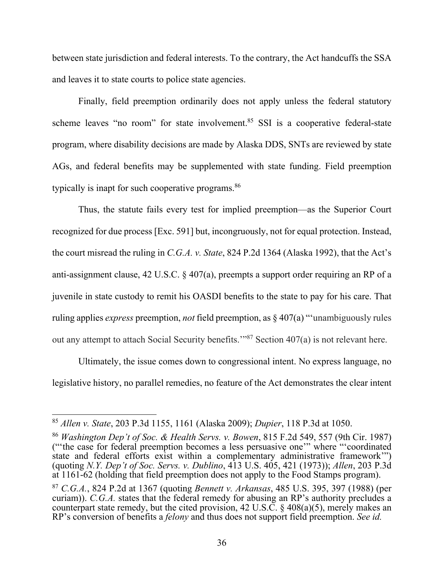between state jurisdiction and federal interests. To the contrary, the Act handcuffs the SSA and leaves it to state courts to police state agencies.

 Finally, field preemption ordinarily does not apply unless the federal statutory scheme leaves "no room" for state involvement.<sup>85</sup> SSI is a cooperative federal-state program, where disability decisions are made by Alaska DDS, SNTs are reviewed by state AGs, and federal benefits may be supplemented with state funding. Field preemption typically is inapt for such cooperative programs.<sup>86</sup>

 Thus, the statute fails every test for implied preemption—as the Superior Court recognized for due process [Exc. 591] but, incongruously, not for equal protection. Instead, the court misread the ruling in *C.G.A. v. State*, 824 P.2d 1364 (Alaska 1992), that the Act's anti-assignment clause, 42 U.S.C. § 407(a), preempts a support order requiring an RP of a juvenile in state custody to remit his OASDI benefits to the state to pay for his care. That ruling applies *express* preemption, *not* field preemption, as § 407(a) "'unambiguously rules out any attempt to attach Social Security benefits.'"87 Section 407(a) is not relevant here.

 Ultimately, the issue comes down to congressional intent. No express language, no legislative history, no parallel remedies, no feature of the Act demonstrates the clear intent

<sup>85</sup> *Allen v. State*, 203 P.3d 1155, 1161 (Alaska 2009); *Dupier*, 118 P.3d at 1050.

<sup>86</sup> *Washington Dep't of Soc. & Health Servs. v. Bowen*, 815 F.2d 549, 557 (9th Cir. 1987) ("'the case for federal preemption becomes a less persuasive one'" where "'coordinated state and federal efforts exist within a complementary administrative framework'") (quoting *N.Y. Dep't of Soc. Servs. v. Dublino*, 413 U.S. 405, 421 (1973)); *Allen*, 203 P.3d at 1161-62 (holding that field preemption does not apply to the Food Stamps program).

<sup>87</sup> *C.G.A.*, 824 P.2d at 1367 (quoting *Bennett v. Arkansas*, 485 U.S. 395, 397 (1988) (per curiam)). *C.G.A.* states that the federal remedy for abusing an RP's authority precludes a counterpart state remedy, but the cited provision, 42 U.S.C.  $\S$  408(a)(5), merely makes an RP's conversion of benefits a *felony* and thus does not support field preemption. *See id.*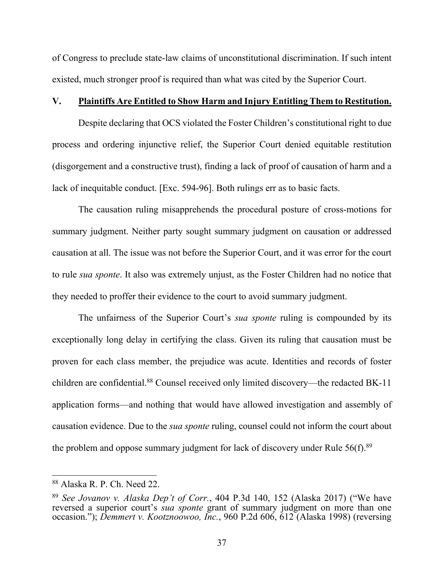of Congress to preclude state-law claims of unconstitutional discrimination. If such intent existed, much stronger proof is required than what was cited by the Superior Court.

#### **V. Plaintiffs Are Entitled to Show Harm and Injury Entitling Them to Restitution.**

 Despite declaring that OCS violated the Foster Children's constitutional right to due process and ordering injunctive relief, the Superior Court denied equitable restitution (disgorgement and a constructive trust), finding a lack of proof of causation of harm and a lack of inequitable conduct. [Exc. 594-96]. Both rulings err as to basic facts.

 The causation ruling misapprehends the procedural posture of cross-motions for summary judgment. Neither party sought summary judgment on causation or addressed causation at all. The issue was not before the Superior Court, and it was error for the court to rule *sua sponte*. It also was extremely unjust, as the Foster Children had no notice that they needed to proffer their evidence to the court to avoid summary judgment.

 The unfairness of the Superior Court's *sua sponte* ruling is compounded by its exceptionally long delay in certifying the class. Given its ruling that causation must be proven for each class member, the prejudice was acute. Identities and records of foster children are confidential.88 Counsel received only limited discovery—the redacted BK-11 application forms—and nothing that would have allowed investigation and assembly of causation evidence. Due to the *sua sponte* ruling, counsel could not inform the court about the problem and oppose summary judgment for lack of discovery under Rule 56(f).<sup>89</sup>

<sup>88</sup> Alaska R. P. Ch. Need 22.

<sup>89</sup> *See Jovanov v. Alaska Dep't of Corr.*, 404 P.3d 140, 152 (Alaska 2017) ("We have reversed a superior court's *sua sponte* grant of summary judgment on more than one occasion."); *Demmert v. Kootznoowoo, Inc.*, 960 P.2d 606, 612 (Alaska 1998) (reversing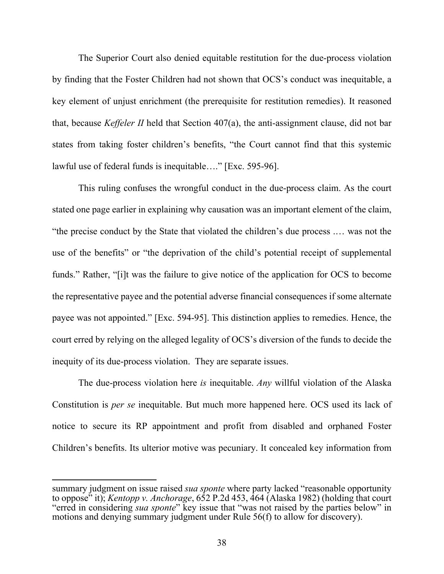The Superior Court also denied equitable restitution for the due-process violation by finding that the Foster Children had not shown that OCS's conduct was inequitable, a key element of unjust enrichment (the prerequisite for restitution remedies). It reasoned that, because *Keffeler II* held that Section 407(a), the anti-assignment clause, did not bar states from taking foster children's benefits, "the Court cannot find that this systemic lawful use of federal funds is inequitable…." [Exc. 595-96].

 This ruling confuses the wrongful conduct in the due-process claim. As the court stated one page earlier in explaining why causation was an important element of the claim, "the precise conduct by the State that violated the children's due process .… was not the use of the benefits" or "the deprivation of the child's potential receipt of supplemental funds." Rather, "[i]t was the failure to give notice of the application for OCS to become the representative payee and the potential adverse financial consequences if some alternate payee was not appointed." [Exc. 594-95]. This distinction applies to remedies. Hence, the court erred by relying on the alleged legality of OCS's diversion of the funds to decide the inequity of its due-process violation. They are separate issues.

 The due-process violation here *is* inequitable. *Any* willful violation of the Alaska Constitution is *per se* inequitable. But much more happened here. OCS used its lack of notice to secure its RP appointment and profit from disabled and orphaned Foster Children's benefits. Its ulterior motive was pecuniary. It concealed key information from

summary judgment on issue raised *sua sponte* where party lacked "reasonable opportunity to oppose" it); *Kentopp v. Anchorage*, 652 P.2d 453, 464 (Alaska 1982) (holding that court "erred in considering *sua sponte*" key issue that "was not raised by the parties below" in motions and denying summary judgment under Rule 56(f) to allow for discovery).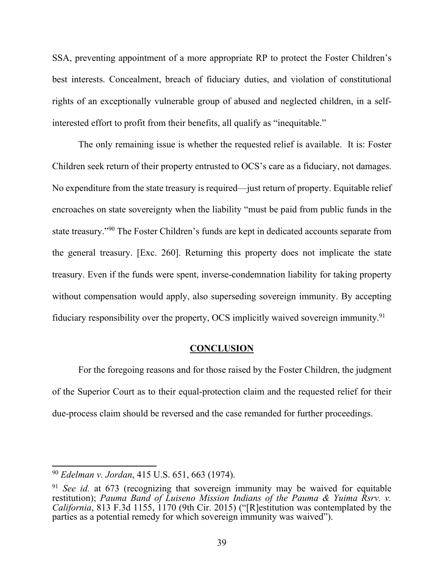SSA, preventing appointment of a more appropriate RP to protect the Foster Children's best interests. Concealment, breach of fiduciary duties, and violation of constitutional rights of an exceptionally vulnerable group of abused and neglected children, in a selfinterested effort to profit from their benefits, all qualify as "inequitable."

 The only remaining issue is whether the requested relief is available. It is: Foster Children seek return of their property entrusted to OCS's care as a fiduciary, not damages. No expenditure from the state treasury is required—just return of property. Equitable relief encroaches on state sovereignty when the liability "must be paid from public funds in the state treasury."90 The Foster Children's funds are kept in dedicated accounts separate from the general treasury. [Exc. 260]. Returning this property does not implicate the state treasury. Even if the funds were spent, inverse-condemnation liability for taking property without compensation would apply, also superseding sovereign immunity. By accepting fiduciary responsibility over the property, OCS implicitly waived sovereign immunity.91

#### **CONCLUSION**

 For the foregoing reasons and for those raised by the Foster Children, the judgment of the Superior Court as to their equal-protection claim and the requested relief for their due-process claim should be reversed and the case remanded for further proceedings.

<sup>90</sup> *Edelman v. Jordan*, 415 U.S. 651, 663 (1974).

<sup>91</sup> *See id.* at 673 (recognizing that sovereign immunity may be waived for equitable restitution); *Pauma Band of Luiseno Mission Indians of the Pauma & Yuima Rsrv. v. California*, 813 F.3d 1155, 1170 (9th Cir. 2015) ("[R]estitution was contemplated by the parties as a potential remedy for which sovereign immunity was waived").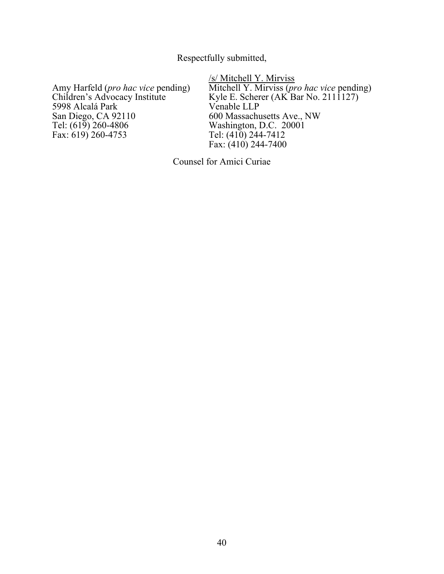Respectfully submitted,

5998 Alcalá Park Venable LLP<br>
San Diego, CA 92110 600 Massachu San Diego, CA 92110 600 Massachusetts Ave., NW<br>Tel: (619) 260-4806 Washington, D.C. 20001 Tel: (619) 260-4806 Washington, D.C. 20001<br>Fax: 619) 260-4753 Tel: (410) 244-7412

/s/ Mitchell Y. Mirviss Amy Harfeld (*pro hac vice* pending) Mitchell Y. Mirviss (*pro hac vice* pending) Children's Advocacy Institute Kyle E. Scherer (AK Bar No. 2111127) Tel:  $(410)$  244-7412 Fax:  $(410)$  244-7400

Counsel for Amici Curiae